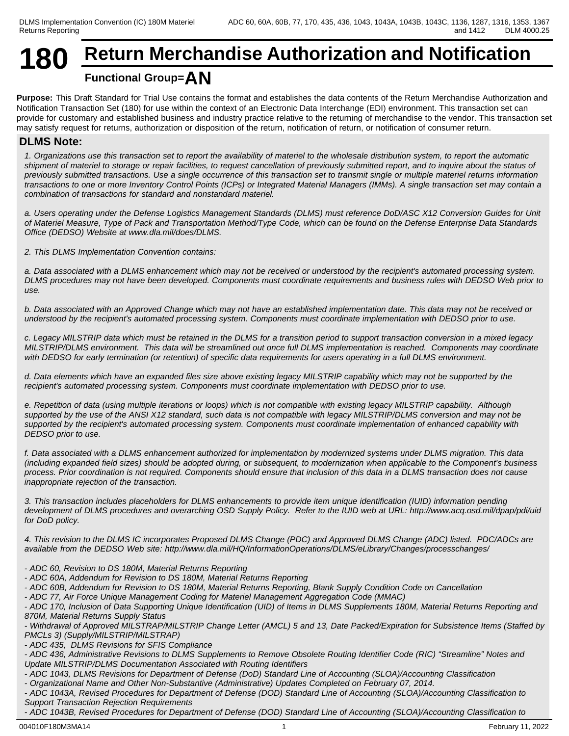# **180 Return Merchandise Authorization and Notification Functional Group=AN**

**Purpose:** This Draft Standard for Trial Use contains the format and establishes the data contents of the Return Merchandise Authorization and Notification Transaction Set (180) for use within the context of an Electronic Data Interchange (EDI) environment. This transaction set can provide for customary and established business and industry practice relative to the returning of merchandise to the vendor. This transaction set may satisfy request for returns, authorization or disposition of the return, notification of return, or notification of consumer return.

# **DLMS Note:**

*1. Organizations use this transaction set to report the availability of materiel to the wholesale distribution system, to report the automatic shipment of materiel to storage or repair facilities, to request cancellation of previously submitted report, and to inquire about the status of previously submitted transactions. Use a single occurrence of this transaction set to transmit single or multiple materiel returns information transactions to one or more Inventory Control Points (ICPs) or Integrated Material Managers (IMMs). A single transaction set may contain a combination of transactions for standard and nonstandard materiel.*

*a. Users operating under the Defense Logistics Management Standards (DLMS) must reference DoD/ASC X12 Conversion Guides for Unit of Materiel Measure, Type of Pack and Transportation Method/Type Code, which can be found on the Defense Enterprise Data Standards Office (DEDSO) Website at www.dla.mil/does/DLMS.*

*2. This DLMS Implementation Convention contains:*

*a. Data associated with a DLMS enhancement which may not be received or understood by the recipient's automated processing system. DLMS procedures may not have been developed. Components must coordinate requirements and business rules with DEDSO Web prior to use.*

*b. Data associated with an Approved Change which may not have an established implementation date. This data may not be received or understood by the recipient's automated processing system. Components must coordinate implementation with DEDSO prior to use.*

*c. Legacy MILSTRIP data which must be retained in the DLMS for a transition period to support transaction conversion in a mixed legacy MILSTRIP/DLMS environment. This data will be streamlined out once full DLMS implementation is reached. Components may coordinate with DEDSO for early termination (or retention) of specific data requirements for users operating in a full DLMS environment.*

*d. Data elements which have an expanded files size above existing legacy MILSTRIP capability which may not be supported by the recipient's automated processing system. Components must coordinate implementation with DEDSO prior to use.*

*e. Repetition of data (using multiple iterations or loops) which is not compatible with existing legacy MILSTRIP capability. Although supported by the use of the ANSI X12 standard, such data is not compatible with legacy MILSTRIP/DLMS conversion and may not be supported by the recipient's automated processing system. Components must coordinate implementation of enhanced capability with DEDSO prior to use.*

*f. Data associated with a DLMS enhancement authorized for implementation by modernized systems under DLMS migration. This data (including expanded field sizes) should be adopted during, or subsequent, to modernization when applicable to the Component's business process. Prior coordination is not required. Components should ensure that inclusion of this data in a DLMS transaction does not cause inappropriate rejection of the transaction.*

*3. This transaction includes placeholders for DLMS enhancements to provide item unique identification (IUID) information pending development of DLMS procedures and overarching OSD Supply Policy. Refer to the IUID web at URL: http://www.acq.osd.mil/dpap/pdi/uid for DoD policy.*

*4. This revision to the DLMS IC incorporates Proposed DLMS Change (PDC) and Approved DLMS Change (ADC) listed. PDC/ADCs are available from the DEDSO Web site: http://www.dla.mil/HQ/InformationOperations/DLMS/eLibrary/Changes/processchanges/*

*- ADC 60, Revision to DS 180M, Material Returns Reporting* 

*- ADC 60A, Addendum for Revision to DS 180M, Material Returns Reporting* 

*- ADC 60B, Addendum for Revision to DS 180M, Material Returns Reporting, Blank Supply Condition Code on Cancellation* 

*- ADC 77, Air Force Unique Management Coding for Materiel Management Aggregation Code (MMAC)*

*- ADC 170, Inclusion of Data Supporting Unique Identification (UID) of Items in DLMS Supplements 180M, Material Returns Reporting and 870M, Material Returns Supply Status*

*- Withdrawal of Approved MILSTRAP/MILSTRIP Change Letter (AMCL) 5 and 13, Date Packed/Expiration for Subsistence Items (Staffed by PMCLs 3) (Supply/MILSTRIP/MILSTRAP)*

*- ADC 435, DLMS Revisions for SFIS Compliance*

*- ADC 436, Administrative Revisions to DLMS Supplements to Remove Obsolete Routing Identifier Code (RIC) "Streamline" Notes and Update MILSTRIP/DLMS Documentation Associated with Routing Identifiers*

*- ADC 1043, DLMS Revisions for Department of Defense (DoD) Standard Line of Accounting (SLOA)/Accounting Classification*

*- Organizational Name and Other Non-Substantive (Administrative) Updates Completed on February 07, 2014.*

*- ADC 1043A, Revised Procedures for Department of Defense (DOD) Standard Line of Accounting (SLOA)/Accounting Classification to Support Transaction Rejection Requirements*

*- ADC 1043B, Revised Procedures for Department of Defense (DOD) Standard Line of Accounting (SLOA)/Accounting Classification to*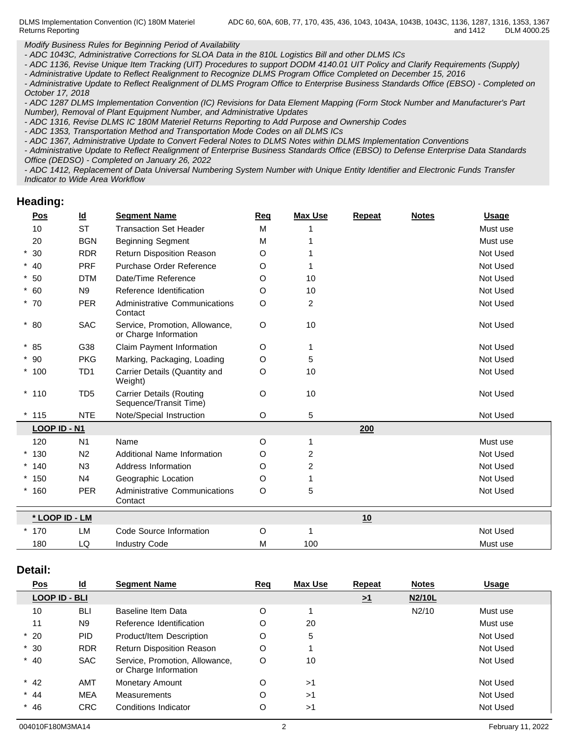DLMS Implementation Convention (IC) 180M Materiel Returns Reporting

*Modify Business Rules for Beginning Period of Availability*

*- ADC 1043C, Administrative Corrections for SLOA Data in the 810L Logistics Bill and other DLMS ICs*

*- ADC 1136, Revise Unique Item Tracking (UIT) Procedures to support DODM 4140.01 UIT Policy and Clarify Requirements (Supply)*

*- Administrative Update to Reflect Realignment to Recognize DLMS Program Office Completed on December 15, 2016*

*- Administrative Update to Reflect Realignment of DLMS Program Office to Enterprise Business Standards Office (EBSO) - Completed on October 17, 2018*

*- ADC 1287 DLMS Implementation Convention (IC) Revisions for Data Element Mapping (Form Stock Number and Manufacturer's Part Number), Removal of Plant Equipment Number, and Administrative Updates*

*- ADC 1316, Revise DLMS IC 180M Materiel Returns Reporting to Add Purpose and Ownership Codes*

*- ADC 1353, Transportation Method and Transportation Mode Codes on all DLMS ICs*

*- ADC 1367, Administrative Update to Convert Federal Notes to DLMS Notes within DLMS Implementation Conventions*

*- Administrative Update to Reflect Realignment of Enterprise Business Standards Office (EBSO) to Defense Enterprise Data Standards Office (DEDSO) - Completed on January 26, 2022*

*- ADC 1412, Replacement of Data Universal Numbering System Number with Unique Entity Identifier and Electronic Funds Transfer Indicator to Wide Area Workflow*

#### **Heading:**

| Pos            | $\underline{\mathsf{Id}}$ | <b>Segment Name</b>                                       | Req | <b>Max Use</b> | <b>Repeat</b> | <b>Notes</b> | <b>Usage</b> |
|----------------|---------------------------|-----------------------------------------------------------|-----|----------------|---------------|--------------|--------------|
| 10             | <b>ST</b>                 | <b>Transaction Set Header</b>                             | M   |                |               |              | Must use     |
| 20             | <b>BGN</b>                | <b>Beginning Segment</b>                                  | М   |                |               |              | Must use     |
| $*30$          | <b>RDR</b>                | Return Disposition Reason                                 | O   |                |               |              | Not Used     |
| $*$ 40         | <b>PRF</b>                | Purchase Order Reference                                  | O   |                |               |              | Not Used     |
| $*50$          | <b>DTM</b>                | Date/Time Reference                                       | O   | 10             |               |              | Not Used     |
| $* 60$         | N <sub>9</sub>            | Reference Identification                                  | O   | 10             |               |              | Not Used     |
| $*70$          | <b>PER</b>                | <b>Administrative Communications</b><br>Contact           | O   | $\overline{2}$ |               |              | Not Used     |
| $*80$          | <b>SAC</b>                | Service, Promotion, Allowance,<br>or Charge Information   | O   | 10             |               |              | Not Used     |
| $*85$          | G38                       | Claim Payment Information                                 | O   | 1              |               |              | Not Used     |
| $*90$          | <b>PKG</b>                | Marking, Packaging, Loading                               | O   | 5              |               |              | Not Used     |
| $*100$         | TD <sub>1</sub>           | Carrier Details (Quantity and<br>Weight)                  | O   | 10             |               |              | Not Used     |
| $*110$         | TD <sub>5</sub>           | <b>Carrier Details (Routing</b><br>Sequence/Transit Time) | O   | 10             |               |              | Not Used     |
| $*$ 115        | <b>NTE</b>                | Note/Special Instruction                                  | O   | 5              |               |              | Not Used     |
| LOOP ID - N1   |                           |                                                           |     |                | 200           |              |              |
| 120            | N <sub>1</sub>            | Name                                                      | O   | 1              |               |              | Must use     |
| $*130$         | N <sub>2</sub>            | Additional Name Information                               | O   | 2              |               |              | Not Used     |
| $*140$         | N3                        | Address Information                                       | O   | $\overline{2}$ |               |              | Not Used     |
| $*150$         | N <sub>4</sub>            | Geographic Location                                       | O   |                |               |              | Not Used     |
| $*160$         | <b>PER</b>                | <b>Administrative Communications</b><br>Contact           | O   | 5              |               |              | Not Used     |
| * LOOP ID - LM |                           |                                                           |     |                | 10            |              |              |
| $*170$         | LM                        | Code Source Information                                   | O   | 1              |               |              | Not Used     |
| 180            | LQ                        | <b>Industry Code</b>                                      | М   | 100            |               |              | Must use     |
|                |                           |                                                           |     |                |               |              |              |

#### **Detail:**

| Pos                  | $\underline{\mathsf{Id}}$ | <b>Segment Name</b>                                     | Req | <b>Max Use</b> | Repeat              | <b>Notes</b> | <b>Usage</b> |
|----------------------|---------------------------|---------------------------------------------------------|-----|----------------|---------------------|--------------|--------------|
| <b>LOOP ID - BLI</b> |                           |                                                         |     |                | $\geq$ <sup>1</sup> | N2/10L       |              |
| 10                   | <b>BLI</b>                | Baseline Item Data                                      | O   |                |                     | N2/10        | Must use     |
| 11                   | N <sub>9</sub>            | Reference Identification                                | O   | 20             |                     |              | Must use     |
| $*20$                | <b>PID</b>                | Product/Item Description                                | O   | 5              |                     |              | Not Used     |
| $*30$                | <b>RDR</b>                | <b>Return Disposition Reason</b>                        | O   |                |                     |              | Not Used     |
| $*$ 40               | <b>SAC</b>                | Service, Promotion, Allowance,<br>or Charge Information | O   | 10             |                     |              | Not Used     |
| $*$ 42               | <b>AMT</b>                | Monetary Amount                                         | O   | >1             |                     |              | Not Used     |
| $*$ 44               | <b>MEA</b>                | <b>Measurements</b>                                     | O   | >1             |                     |              | Not Used     |
| $*$ 46               | CRC.                      | Conditions Indicator                                    | O   | >1             |                     |              | Not Used     |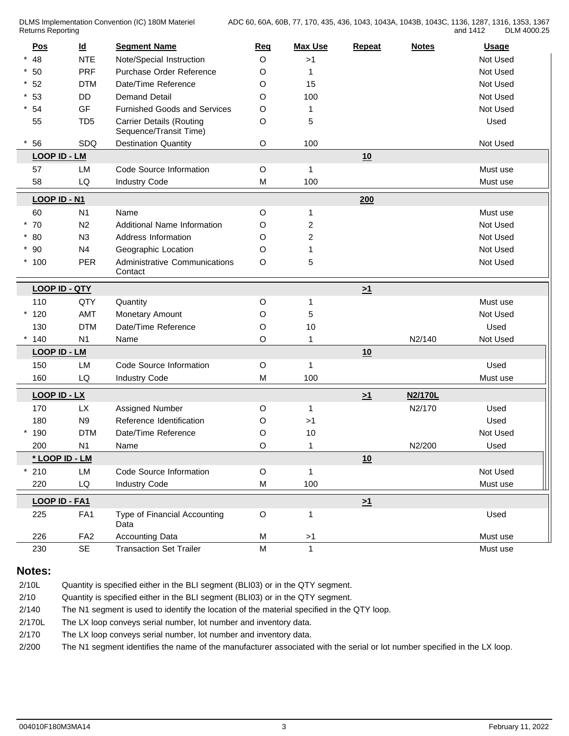| <b>Pos</b>           | $\underline{\mathsf{Id}}$ | <b>Segment Name</b>                                       | Req         | <b>Max Use</b>          | <b>Repeat</b> | <b>Notes</b> | <b>Usage</b> |
|----------------------|---------------------------|-----------------------------------------------------------|-------------|-------------------------|---------------|--------------|--------------|
| 48                   | <b>NTE</b>                | Note/Special Instruction                                  | O           | >1                      |               |              | Not Used     |
| $*50$                | <b>PRF</b>                | Purchase Order Reference                                  | O           | 1                       |               |              | Not Used     |
| $^{\star}$ 52        | <b>DTM</b>                | Date/Time Reference                                       | O           | 15                      |               |              | Not Used     |
| $*53$                | <b>DD</b>                 | <b>Demand Detail</b>                                      | O           | 100                     |               |              | Not Used     |
| $*54$                | GF                        | <b>Furnished Goods and Services</b>                       | O           | 1                       |               |              | Not Used     |
| 55                   | TD <sub>5</sub>           | <b>Carrier Details (Routing</b><br>Sequence/Transit Time) | O           | 5                       |               |              | Used         |
| 56                   | SDQ                       | <b>Destination Quantity</b>                               | $\mathsf O$ | 100                     |               |              | Not Used     |
| <b>LOOP ID - LM</b>  |                           |                                                           |             |                         | 10            |              |              |
| 57                   | LM                        | Code Source Information                                   | O           | $\mathbf{1}$            |               |              | Must use     |
| 58                   | LQ                        | <b>Industry Code</b>                                      | M           | 100                     |               |              | Must use     |
| LOOP ID - N1         |                           |                                                           |             |                         | 200           |              |              |
| 60                   | N <sub>1</sub>            | Name                                                      | O           | 1                       |               |              | Must use     |
| $*70$                | N2                        | Additional Name Information                               | O           | $\overline{\mathbf{c}}$ |               |              | Not Used     |
| $*80$                | N3                        | Address Information                                       | O           | 2                       |               |              | Not Used     |
| $*90$                | N <sub>4</sub>            | Geographic Location                                       | O           |                         |               |              | Not Used     |
| $*100$               | PER                       | Administrative Communications<br>Contact                  | O           | 5                       |               |              | Not Used     |
| <b>LOOP ID - QTY</b> |                           |                                                           |             |                         | $\geq 1$      |              |              |
| 110                  | QTY                       | Quantity                                                  | O           | 1                       |               |              | Must use     |
| $*120$               | <b>AMT</b>                | Monetary Amount                                           | O           | 5                       |               |              | Not Used     |
| 130                  | <b>DTM</b>                | Date/Time Reference                                       | O           | 10                      |               |              | Used         |
| $*140$               | N <sub>1</sub>            | Name                                                      | O           | $\mathbf{1}$            |               | N2/140       | Not Used     |
| <b>LOOP ID - LM</b>  |                           |                                                           |             |                         | 10            |              |              |
| 150                  | LM                        | Code Source Information                                   | O           | $\mathbf{1}$            |               |              | Used         |
| 160                  | LQ                        | <b>Industry Code</b>                                      | M           | 100                     |               |              | Must use     |
| LOOP ID - LX         |                           |                                                           |             |                         | $\geq 1$      | N2/170L      |              |
| 170                  | <b>LX</b>                 | Assigned Number                                           | O           | $\mathbf{1}$            |               | N2/170       | Used         |
| 180                  | N9                        | Reference Identification                                  | O           | >1                      |               |              | Used         |
| $*190$               | <b>DTM</b>                | Date/Time Reference                                       | O           | 10                      |               |              | Not Used     |
| 200                  | N <sub>1</sub>            | Name                                                      | O           | $\mathbf{1}$            |               | N2/200       | Used         |
| * LOOP ID - LM       |                           |                                                           |             |                         | 10            |              |              |
| 210                  | LM                        | Code Source Information                                   | $\mathsf O$ | $\mathbf{1}$            |               |              | Not Used     |
| 220                  | LQ                        | <b>Industry Code</b>                                      | M           | 100                     |               |              | Must use     |
| LOOP ID - FA1        |                           |                                                           |             |                         | $\geq 1$      |              |              |
| 225                  | FA1                       | Type of Financial Accounting<br>Data                      | $\mathsf O$ | $\mathbf{1}$            |               |              | Used         |
| 226                  | FA <sub>2</sub>           | Accounting Data                                           | M           | $>1$                    |               |              | Must use     |
| 230                  | SE                        | <b>Transaction Set Trailer</b>                            | M           | $\mathbf{1}$            |               |              | Must use     |

# **Notes:**

| 2/10L  | Quantity is specified either in the BLI segment (BLI03) or in the QTY segment.                                            |
|--------|---------------------------------------------------------------------------------------------------------------------------|
| 2/10   | Quantity is specified either in the BLI segment (BLI03) or in the QTY segment.                                            |
| 2/140  | The N1 segment is used to identify the location of the material specified in the QTY loop.                                |
| 2/170L | The LX loop conveys serial number, lot number and inventory data.                                                         |
| 2/170  | The LX loop conveys serial number, lot number and inventory data.                                                         |
| 2/200  | The N1 segment identifies the name of the manufacturer associated with the serial or lot number specified in the LX loop. |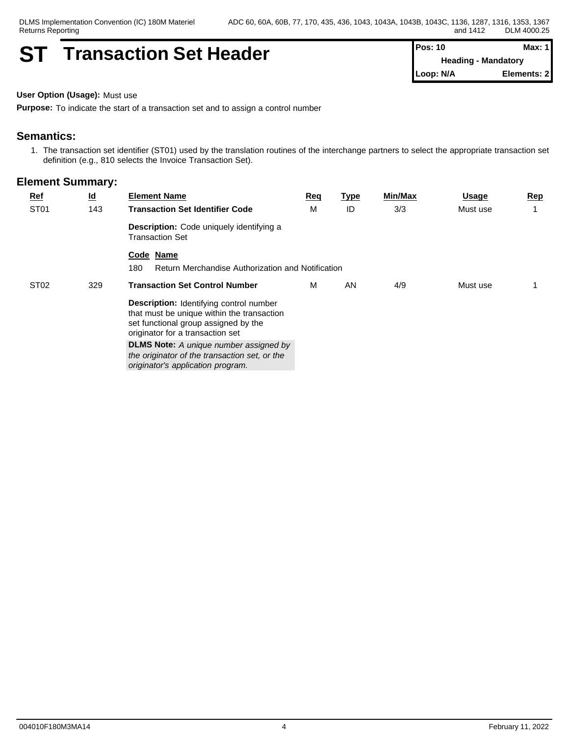# **ST Transaction Set Header Pos: 10 Max: 1 Max: 1**

**Heading - Mandatory Loop: N/A Elements: 2**

**User Option (Usage):** Must use

**Purpose:** To indicate the start of a transaction set and to assign a control number

#### **Semantics:**

1. The transaction set identifier (ST01) used by the translation routines of the interchange partners to select the appropriate transaction set definition (e.g., 810 selects the Invoice Transaction Set).

| <u>Ref</u>       | $\underline{\mathsf{Id}}$ | <b>Element Name</b>                                                                                                                                                      | Req | <u>Type</u> | Min/Max | <b>Usage</b> | Rep |
|------------------|---------------------------|--------------------------------------------------------------------------------------------------------------------------------------------------------------------------|-----|-------------|---------|--------------|-----|
| ST <sub>01</sub> | 143                       | <b>Transaction Set Identifier Code</b>                                                                                                                                   | M   | ID          | 3/3     | Must use     |     |
|                  |                           | Description: Code uniquely identifying a<br><b>Transaction Set</b>                                                                                                       |     |             |         |              |     |
|                  |                           | Code Name                                                                                                                                                                |     |             |         |              |     |
|                  |                           | 180<br>Return Merchandise Authorization and Notification                                                                                                                 |     |             |         |              |     |
| ST <sub>02</sub> | 329                       | <b>Transaction Set Control Number</b>                                                                                                                                    | M   | AN          | 4/9     | Must use     |     |
|                  |                           | <b>Description:</b> Identifying control number<br>that must be unique within the transaction<br>set functional group assigned by the<br>originator for a transaction set |     |             |         |              |     |
|                  |                           | <b>DLMS Note:</b> A unique number assigned by<br>the originator of the transaction set, or the<br>originator's application program.                                      |     |             |         |              |     |
|                  |                           |                                                                                                                                                                          |     |             |         |              |     |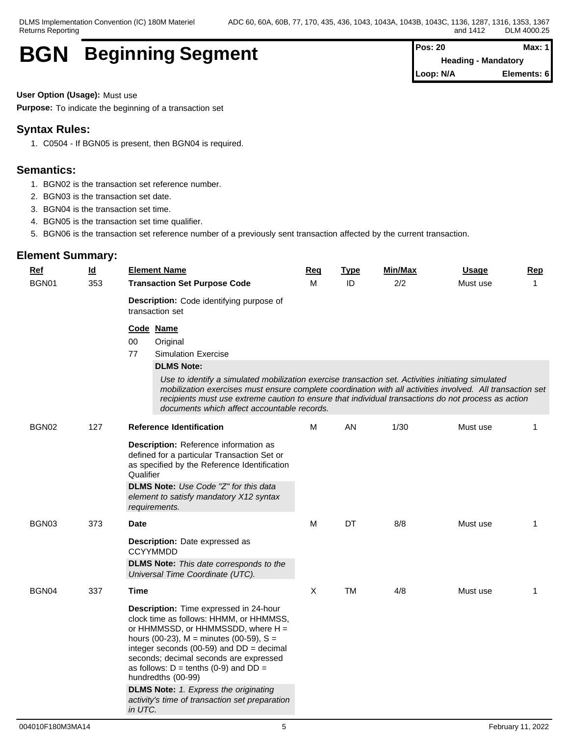# **BGN Beginning Segment Pos: 20 Pos: 20 Max:** Max:

**Heading - Mandatory Loop: N/A Elements: 6**

**User Option (Usage):** Must use

**Purpose:** To indicate the beginning of a transaction set

# **Syntax Rules:**

1. C0504 - If BGN05 is present, then BGN04 is required.

### **Semantics:**

- 1. BGN02 is the transaction set reference number.
- 2. BGN03 is the transaction set date.
- 3. BGN04 is the transaction set time.
- 4. BGN05 is the transaction set time qualifier.
- 5. BGN06 is the transaction set reference number of a previously sent transaction affected by the current transaction.

| $Ref$ | $\underline{\mathsf{Id}}$ | <b>Element Name</b>                                                                                                                                                                                                                                                                                                                                                                                                                                   | <b>Req</b> | <b>Type</b> | Min/Max | <b>Usage</b> | Rep         |
|-------|---------------------------|-------------------------------------------------------------------------------------------------------------------------------------------------------------------------------------------------------------------------------------------------------------------------------------------------------------------------------------------------------------------------------------------------------------------------------------------------------|------------|-------------|---------|--------------|-------------|
| BGN01 | 353                       | <b>Transaction Set Purpose Code</b>                                                                                                                                                                                                                                                                                                                                                                                                                   |            | ID          | 2/2     | Must use     | $\mathbf 1$ |
|       |                           | <b>Description:</b> Code identifying purpose of<br>transaction set                                                                                                                                                                                                                                                                                                                                                                                    |            |             |         |              |             |
|       |                           | Code Name                                                                                                                                                                                                                                                                                                                                                                                                                                             |            |             |         |              |             |
|       |                           | 00<br>Original                                                                                                                                                                                                                                                                                                                                                                                                                                        |            |             |         |              |             |
|       |                           | 77<br><b>Simulation Exercise</b>                                                                                                                                                                                                                                                                                                                                                                                                                      |            |             |         |              |             |
|       |                           | <b>DLMS Note:</b>                                                                                                                                                                                                                                                                                                                                                                                                                                     |            |             |         |              |             |
|       |                           | Use to identify a simulated mobilization exercise transaction set. Activities initiating simulated<br>mobilization exercises must ensure complete coordination with all activities involved. All transaction set<br>recipients must use extreme caution to ensure that individual transactions do not process as action<br>documents which affect accountable records.                                                                                |            |             |         |              |             |
| BGN02 | 127                       | <b>Reference Identification</b>                                                                                                                                                                                                                                                                                                                                                                                                                       | м          | AN          | 1/30    | Must use     | 1           |
|       |                           | Description: Reference information as<br>defined for a particular Transaction Set or<br>as specified by the Reference Identification<br>Qualifier<br>DLMS Note: Use Code "Z" for this data<br>element to satisfy mandatory X12 syntax<br>requirements.                                                                                                                                                                                                |            |             |         |              |             |
| BGN03 | 373                       | <b>Date</b>                                                                                                                                                                                                                                                                                                                                                                                                                                           | M          | DT          | 8/8     | Must use     | 1           |
|       |                           | Description: Date expressed as<br><b>CCYYMMDD</b>                                                                                                                                                                                                                                                                                                                                                                                                     |            |             |         |              |             |
|       |                           | <b>DLMS Note:</b> This date corresponds to the<br>Universal Time Coordinate (UTC).                                                                                                                                                                                                                                                                                                                                                                    |            |             |         |              |             |
| BGN04 | 337                       | Time                                                                                                                                                                                                                                                                                                                                                                                                                                                  | X          | <b>TM</b>   | 4/8     | Must use     | 1           |
|       |                           | Description: Time expressed in 24-hour<br>clock time as follows: HHMM, or HHMMSS,<br>or HHMMSSD, or HHMMSSDD, where H =<br>hours (00-23), $M =$ minutes (00-59), $S =$<br>integer seconds (00-59) and $DD = decimal$<br>seconds; decimal seconds are expressed<br>as follows: $D = \text{tenths}$ (0-9) and $DD =$<br>hundredths (00-99)<br><b>DLMS Note:</b> 1. Express the originating<br>activity's time of transaction set preparation<br>in UTC. |            |             |         |              |             |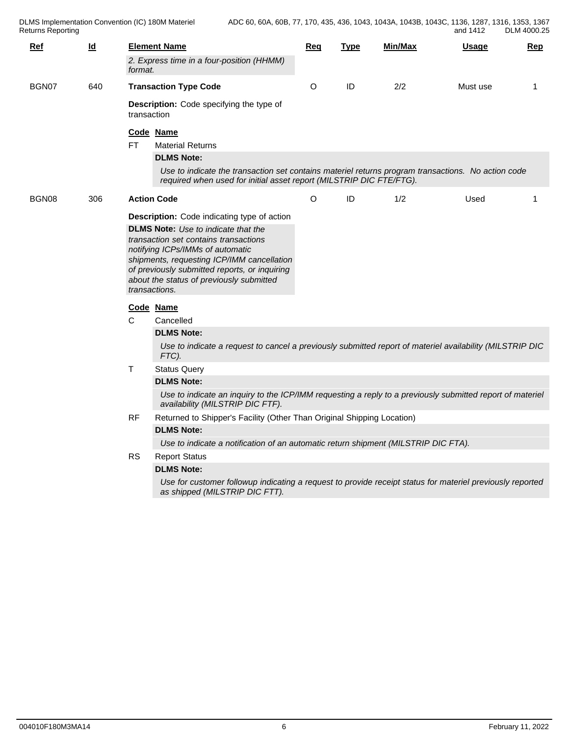DLMS Implementation Convention (IC) 180M Materiel Returns Reporting

| $Ref$ | $\overline{\mathsf{Id}}$ |                                                                                                                                                                                                     | <b>Element Name</b>                                                                                                                                                                                                                                                                                                                                | Req      | <b>Type</b> | Min/Max | <u>Usage</u> | Rep |  |  |  |
|-------|--------------------------|-----------------------------------------------------------------------------------------------------------------------------------------------------------------------------------------------------|----------------------------------------------------------------------------------------------------------------------------------------------------------------------------------------------------------------------------------------------------------------------------------------------------------------------------------------------------|----------|-------------|---------|--------------|-----|--|--|--|
|       |                          | format.                                                                                                                                                                                             | 2. Express time in a four-position (HHMM)                                                                                                                                                                                                                                                                                                          |          |             |         |              |     |  |  |  |
| BGN07 | 640                      |                                                                                                                                                                                                     | <b>Transaction Type Code</b>                                                                                                                                                                                                                                                                                                                       | O        | ID          | 2/2     | Must use     | 1   |  |  |  |
|       |                          | transaction                                                                                                                                                                                         | <b>Description:</b> Code specifying the type of                                                                                                                                                                                                                                                                                                    |          |             |         |              |     |  |  |  |
|       |                          | FT.                                                                                                                                                                                                 | Code Name<br><b>Material Returns</b><br><b>DLMS Note:</b><br>Use to indicate the transaction set contains materiel returns program transactions. No action code<br>required when used for initial asset report (MILSTRIP DIC FTE/FTG).                                                                                                             |          |             |         |              |     |  |  |  |
| BGN08 | 306                      |                                                                                                                                                                                                     | <b>Action Code</b>                                                                                                                                                                                                                                                                                                                                 | $\Omega$ | ID          | 1/2     | Used         | -1  |  |  |  |
|       |                          | transactions.<br>C                                                                                                                                                                                  | <b>Description:</b> Code indicating type of action<br><b>DLMS Note:</b> Use to indicate that the<br>transaction set contains transactions<br>notifying ICPs/IMMs of automatic<br>shipments, requesting ICP/IMM cancellation<br>of previously submitted reports, or inquiring<br>about the status of previously submitted<br>Code Name<br>Cancelled |          |             |         |              |     |  |  |  |
|       |                          |                                                                                                                                                                                                     | <b>DLMS Note:</b><br>Use to indicate a request to cancel a previously submitted report of materiel availability (MILSTRIP DIC<br>FTC).                                                                                                                                                                                                             |          |             |         |              |     |  |  |  |
|       |                          | $\top$<br><b>Status Query</b><br><b>DLMS Note:</b><br>Use to indicate an inquiry to the ICP/IMM requesting a reply to a previously submitted report of materiel<br>availability (MILSTRIP DIC FTF). |                                                                                                                                                                                                                                                                                                                                                    |          |             |         |              |     |  |  |  |
|       |                          | RF.                                                                                                                                                                                                 | Returned to Shipper's Facility (Other Than Original Shipping Location)<br><b>DLMS Note:</b><br>Use to indicate a notification of an automatic return shipment (MILSTRIP DIC FTA).                                                                                                                                                                  |          |             |         |              |     |  |  |  |
|       |                          | <b>RS</b>                                                                                                                                                                                           | <b>Report Status</b><br><b>DLMS Note:</b><br>Use for customer followup indicating a request to provide receipt status for materiel previously reported                                                                                                                                                                                             |          |             |         |              |     |  |  |  |
|       |                          |                                                                                                                                                                                                     | as shipped (MILSTRIP DIC FTT).                                                                                                                                                                                                                                                                                                                     |          |             |         |              |     |  |  |  |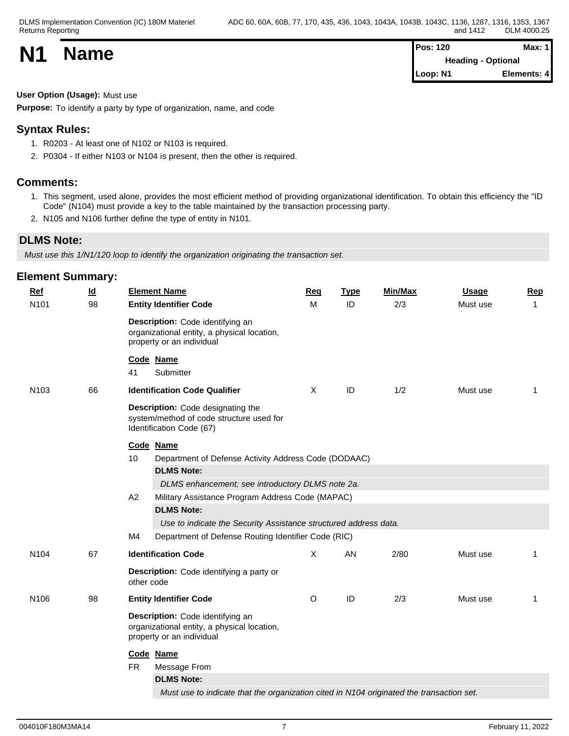| <b>N1</b> | <b>Name</b> | <b>Pos: 120</b>           | Max: $1$    |  |
|-----------|-------------|---------------------------|-------------|--|
|           |             | <b>Heading - Optional</b> |             |  |
|           |             | Loop: N1                  | Elements: 4 |  |

#### **User Option (Usage):** Must use

**Purpose:** To identify a party by type of organization, name, and code

# **Syntax Rules:**

- 1. R0203 At least one of N102 or N103 is required.
- 2. P0304 If either N103 or N104 is present, then the other is required.

#### **Comments:**

- 1. This segment, used alone, provides the most efficient method of providing organizational identification. To obtain this efficiency the "ID Code" (N104) must provide a key to the table maintained by the transaction processing party.
- 2. N105 and N106 further define the type of entity in N101.

# **DLMS Note:**

*Must use this 1/N1/120 loop to identify the organization originating the transaction set.*

| <b>Element Summary:</b> |                           |            |                                                                                                              |     |               |         |              |                |
|-------------------------|---------------------------|------------|--------------------------------------------------------------------------------------------------------------|-----|---------------|---------|--------------|----------------|
| $Ref$                   | $\underline{\mathsf{Id}}$ |            | <b>Element Name</b>                                                                                          | Req | <b>Type</b>   | Min/Max | <b>Usage</b> | Rep            |
| N101                    | 98                        |            | <b>Entity Identifier Code</b>                                                                                | M   | ID            | 2/3     | Must use     | $\overline{1}$ |
|                         |                           |            | Description: Code identifying an<br>organizational entity, a physical location,<br>property or an individual |     |               |         |              |                |
|                         |                           | 41         | Code Name<br>Submitter                                                                                       |     |               |         |              |                |
| N103                    | 66                        |            | <b>Identification Code Qualifier</b>                                                                         | X   | ID            | 1/2     | Must use     | $\mathbf{1}$   |
|                         |                           |            | Description: Code designating the<br>system/method of code structure used for<br>Identification Code (67)    |     |               |         |              |                |
|                         |                           |            | Code Name                                                                                                    |     |               |         |              |                |
|                         |                           | 10         | Department of Defense Activity Address Code (DODAAC)                                                         |     |               |         |              |                |
|                         |                           |            | <b>DLMS Note:</b>                                                                                            |     |               |         |              |                |
|                         |                           |            | DLMS enhancement; see introductory DLMS note 2a.                                                             |     |               |         |              |                |
|                         |                           | A2         | Military Assistance Program Address Code (MAPAC)                                                             |     |               |         |              |                |
|                         |                           |            | <b>DLMS Note:</b><br>Use to indicate the Security Assistance structured address data.                        |     |               |         |              |                |
|                         |                           | M4         | Department of Defense Routing Identifier Code (RIC)                                                          |     |               |         |              |                |
|                         |                           |            |                                                                                                              |     |               |         |              |                |
| N <sub>104</sub>        | 67                        |            | <b>Identification Code</b>                                                                                   | X   | AN            | 2/80    | Must use     | -1             |
|                         |                           | other code | Description: Code identifying a party or                                                                     |     |               |         |              |                |
| N106                    | 98                        |            | <b>Entity Identifier Code</b>                                                                                | O   | $\mathsf{ID}$ | 2/3     | Must use     | $\mathbf{1}$   |
|                         |                           |            | Description: Code identifying an<br>organizational entity, a physical location,<br>property or an individual |     |               |         |              |                |
|                         |                           |            | Code Name                                                                                                    |     |               |         |              |                |
|                         |                           | <b>FR</b>  | Message From                                                                                                 |     |               |         |              |                |
|                         |                           |            | <b>DLMS Note:</b>                                                                                            |     |               |         |              |                |
|                         |                           |            | Must use to indicate that the organization cited in N104 originated the transaction set.                     |     |               |         |              |                |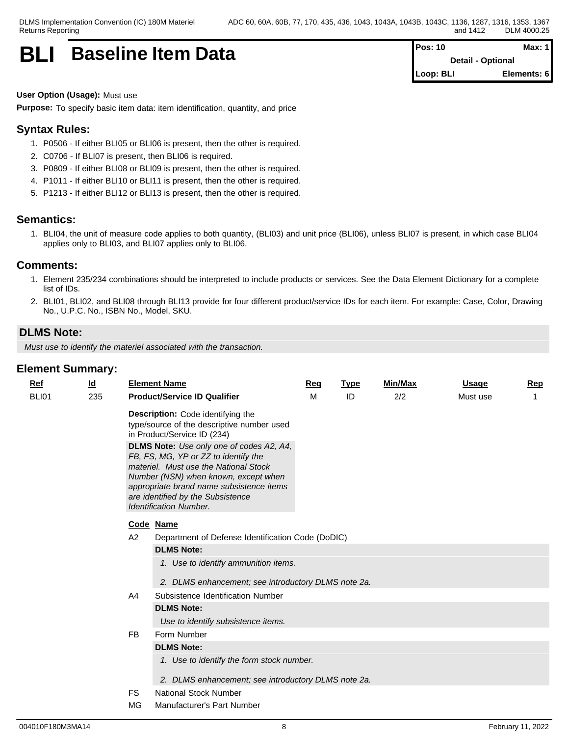# **BLI** Baseline Item Data **Pos: 10** Max: 1

**Detail - Optional Loop: BLI Elements: 6**

#### **User Option (Usage):** Must use

**Purpose:** To specify basic item data: item identification, quantity, and price

# **Syntax Rules:**

- 1. P0506 If either BLI05 or BLI06 is present, then the other is required.
- 2. C0706 If BLI07 is present, then BLI06 is required.
- 3. P0809 If either BLI08 or BLI09 is present, then the other is required.
- 4. P1011 If either BLI10 or BLI11 is present, then the other is required.
- 5. P1213 If either BLI12 or BLI13 is present, then the other is required.

#### **Semantics:**

1. BLI04, the unit of measure code applies to both quantity, (BLI03) and unit price (BLI06), unless BLI07 is present, in which case BLI04 applies only to BLI03, and BLI07 applies only to BLI06.

#### **Comments:**

- 1. Element 235/234 combinations should be interpreted to include products or services. See the Data Element Dictionary for a complete list of IDs.
- 2. BLI01, BLI02, and BLI08 through BLI13 provide for four different product/service IDs for each item. For example: Case, Color, Drawing No., U.P.C. No., ISBN No., Model, SKU.

#### **DLMS Note:**

*Must use to identify the materiel associated with the transaction.*

| <b>Ref</b>   | <u>ld</u> |     | <b>Element Name</b>                                                                                                                                                                                                                                                                 | Req | <b>Type</b> | Min/Max | <b>Usage</b> | Rep |  |  |  |
|--------------|-----------|-----|-------------------------------------------------------------------------------------------------------------------------------------------------------------------------------------------------------------------------------------------------------------------------------------|-----|-------------|---------|--------------|-----|--|--|--|
| <b>BLI01</b> | 235       |     | <b>Product/Service ID Qualifier</b>                                                                                                                                                                                                                                                 | M   | ID          | 2/2     | Must use     |     |  |  |  |
|              |           |     | Description: Code identifying the<br>type/source of the descriptive number used<br>in Product/Service ID (234)                                                                                                                                                                      |     |             |         |              |     |  |  |  |
|              |           |     | DLMS Note: Use only one of codes A2, A4,<br>FB, FS, MG, YP or ZZ to identify the<br>materiel. Must use the National Stock<br>Number (NSN) when known, except when<br>appropriate brand name subsistence items<br>are identified by the Subsistence<br><b>Identification Number.</b> |     |             |         |              |     |  |  |  |
|              |           |     | Code Name                                                                                                                                                                                                                                                                           |     |             |         |              |     |  |  |  |
|              |           | A2  | Department of Defense Identification Code (DoDIC)                                                                                                                                                                                                                                   |     |             |         |              |     |  |  |  |
|              |           |     | <b>DLMS Note:</b>                                                                                                                                                                                                                                                                   |     |             |         |              |     |  |  |  |
|              |           |     | 1. Use to identify ammunition items.                                                                                                                                                                                                                                                |     |             |         |              |     |  |  |  |
|              |           |     | 2. DLMS enhancement; see introductory DLMS note 2a.                                                                                                                                                                                                                                 |     |             |         |              |     |  |  |  |
|              |           | A4  | Subsistence Identification Number                                                                                                                                                                                                                                                   |     |             |         |              |     |  |  |  |
|              |           |     | <b>DLMS Note:</b>                                                                                                                                                                                                                                                                   |     |             |         |              |     |  |  |  |
|              |           |     | Use to identify subsistence items.                                                                                                                                                                                                                                                  |     |             |         |              |     |  |  |  |
|              |           | FB  | Form Number                                                                                                                                                                                                                                                                         |     |             |         |              |     |  |  |  |
|              |           |     | <b>DLMS Note:</b>                                                                                                                                                                                                                                                                   |     |             |         |              |     |  |  |  |
|              |           |     | 1. Use to identify the form stock number.                                                                                                                                                                                                                                           |     |             |         |              |     |  |  |  |
|              |           |     | 2. DLMS enhancement; see introductory DLMS note 2a.                                                                                                                                                                                                                                 |     |             |         |              |     |  |  |  |
|              |           | FS  | <b>National Stock Number</b>                                                                                                                                                                                                                                                        |     |             |         |              |     |  |  |  |
|              |           | MG. | Manufacturer's Part Number                                                                                                                                                                                                                                                          |     |             |         |              |     |  |  |  |
|              |           |     |                                                                                                                                                                                                                                                                                     |     |             |         |              |     |  |  |  |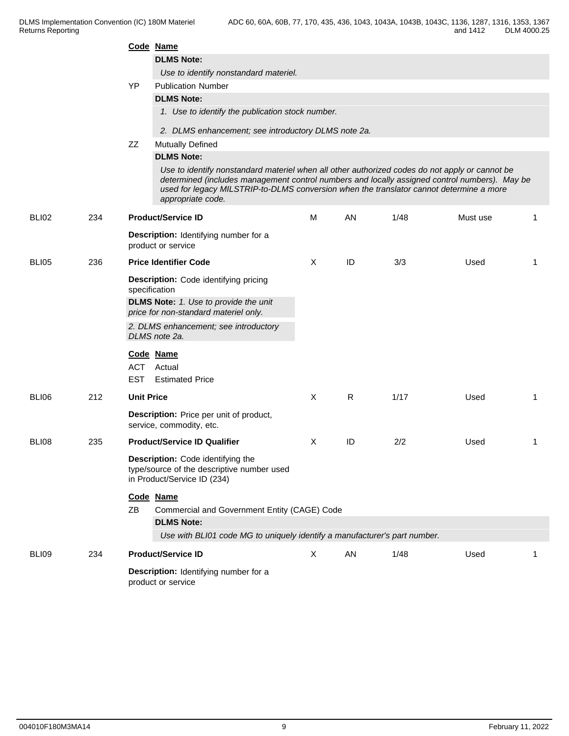|              |     |                   | Code Name                                                                                                                                                                                                                                                                                                       |              |    |      |          |                |
|--------------|-----|-------------------|-----------------------------------------------------------------------------------------------------------------------------------------------------------------------------------------------------------------------------------------------------------------------------------------------------------------|--------------|----|------|----------|----------------|
|              |     |                   | <b>DLMS Note:</b>                                                                                                                                                                                                                                                                                               |              |    |      |          |                |
|              |     |                   | Use to identify nonstandard materiel.                                                                                                                                                                                                                                                                           |              |    |      |          |                |
|              |     | <b>YP</b>         | <b>Publication Number</b>                                                                                                                                                                                                                                                                                       |              |    |      |          |                |
|              |     |                   | <b>DLMS Note:</b>                                                                                                                                                                                                                                                                                               |              |    |      |          |                |
|              |     |                   | 1. Use to identify the publication stock number.                                                                                                                                                                                                                                                                |              |    |      |          |                |
|              |     |                   | 2. DLMS enhancement; see introductory DLMS note 2a.                                                                                                                                                                                                                                                             |              |    |      |          |                |
|              |     | ZZ                | Mutually Defined                                                                                                                                                                                                                                                                                                |              |    |      |          |                |
|              |     |                   | <b>DLMS Note:</b>                                                                                                                                                                                                                                                                                               |              |    |      |          |                |
|              |     |                   | Use to identify nonstandard materiel when all other authorized codes do not apply or cannot be<br>determined (includes management control numbers and locally assigned control numbers). May be<br>used for legacy MILSTRIP-to-DLMS conversion when the translator cannot determine a more<br>appropriate code. |              |    |      |          |                |
| BLI02        | 234 |                   | <b>Product/Service ID</b>                                                                                                                                                                                                                                                                                       | М            | AN | 1/48 | Must use | -1             |
|              |     |                   | Description: Identifying number for a<br>product or service                                                                                                                                                                                                                                                     |              |    |      |          |                |
| <b>BLI05</b> | 236 |                   | <b>Price Identifier Code</b>                                                                                                                                                                                                                                                                                    | X            | ID | 3/3  | Used     | $\overline{1}$ |
|              |     |                   | Description: Code identifying pricing<br>specification                                                                                                                                                                                                                                                          |              |    |      |          |                |
|              |     |                   | <b>DLMS Note:</b> 1. Use to provide the unit<br>price for non-standard materiel only.                                                                                                                                                                                                                           |              |    |      |          |                |
|              |     |                   | 2. DLMS enhancement; see introductory<br>DLMS note 2a.                                                                                                                                                                                                                                                          |              |    |      |          |                |
|              |     |                   | Code Name                                                                                                                                                                                                                                                                                                       |              |    |      |          |                |
|              |     |                   | ACT Actual                                                                                                                                                                                                                                                                                                      |              |    |      |          |                |
|              |     | <b>EST</b>        | <b>Estimated Price</b>                                                                                                                                                                                                                                                                                          |              |    |      |          |                |
| BLI06        | 212 | <b>Unit Price</b> |                                                                                                                                                                                                                                                                                                                 | $\mathsf{X}$ | R  | 1/17 | Used     | -1             |
|              |     |                   | Description: Price per unit of product,<br>service, commodity, etc.                                                                                                                                                                                                                                             |              |    |      |          |                |
| BLI08        | 235 |                   | <b>Product/Service ID Qualifier</b>                                                                                                                                                                                                                                                                             | X            | ID | 2/2  | Used     | -1             |
|              |     |                   | Description: Code identifying the<br>type/source of the descriptive number used<br>in Product/Service ID (234)                                                                                                                                                                                                  |              |    |      |          |                |
|              |     |                   | Code Name                                                                                                                                                                                                                                                                                                       |              |    |      |          |                |
|              |     | ZB                | Commercial and Government Entity (CAGE) Code                                                                                                                                                                                                                                                                    |              |    |      |          |                |
|              |     |                   | <b>DLMS Note:</b>                                                                                                                                                                                                                                                                                               |              |    |      |          |                |
|              |     |                   | Use with BLI01 code MG to uniquely identify a manufacturer's part number.                                                                                                                                                                                                                                       |              |    |      |          |                |
| BLI09        | 234 |                   | <b>Product/Service ID</b>                                                                                                                                                                                                                                                                                       | $\mathsf{X}$ | AN | 1/48 | Used     | -1             |
|              |     |                   | Description: Identifying number for a<br>product or service                                                                                                                                                                                                                                                     |              |    |      |          |                |
|              |     |                   |                                                                                                                                                                                                                                                                                                                 |              |    |      |          |                |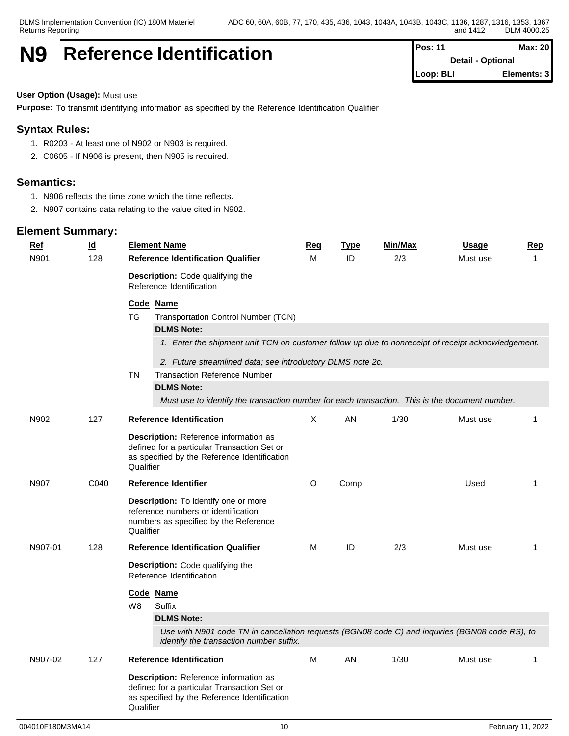# **N9** Reference Identification **Pos:** 11 **Pos:** 11 **Max:** 20

**Detail - Optional Loop: BLI Elements: 3**

#### **User Option (Usage):** Must use

**Purpose:** To transmit identifying information as specified by the Reference Identification Qualifier

### **Syntax Rules:**

- 1. R0203 At least one of N902 or N903 is required.
- 2. C0605 If N906 is present, then N905 is required.

#### **Semantics:**

- 1. N906 reflects the time zone which the time reflects.
- 2. N907 contains data relating to the value cited in N902.

| <u>Ref</u> | $\underline{\mathsf{Id}}$ | <b>Element Name</b>                                                                                                                                      | Req      | <b>Type</b> | Min/Max | <b>Usage</b> | Rep          |
|------------|---------------------------|----------------------------------------------------------------------------------------------------------------------------------------------------------|----------|-------------|---------|--------------|--------------|
| N901       | 128                       | <b>Reference Identification Qualifier</b>                                                                                                                | M        | ID          | 2/3     | Must use     | 1            |
|            |                           | Description: Code qualifying the<br>Reference Identification                                                                                             |          |             |         |              |              |
|            |                           | Code Name                                                                                                                                                |          |             |         |              |              |
|            |                           | <b>Transportation Control Number (TCN)</b><br>TG                                                                                                         |          |             |         |              |              |
|            |                           | <b>DLMS Note:</b>                                                                                                                                        |          |             |         |              |              |
|            |                           | 1. Enter the shipment unit TCN on customer follow up due to nonreceipt of receipt acknowledgement.                                                       |          |             |         |              |              |
|            |                           | 2. Future streamlined data; see introductory DLMS note 2c.                                                                                               |          |             |         |              |              |
|            |                           | <b>Transaction Reference Number</b><br>TN                                                                                                                |          |             |         |              |              |
|            |                           | <b>DLMS Note:</b>                                                                                                                                        |          |             |         |              |              |
|            |                           | Must use to identify the transaction number for each transaction. This is the document number.                                                           |          |             |         |              |              |
| N902       | 127                       | <b>Reference Identification</b>                                                                                                                          | $\times$ | AN          | 1/30    | Must use     | $\mathbf 1$  |
|            |                           | Description: Reference information as<br>defined for a particular Transaction Set or<br>as specified by the Reference Identification<br>Qualifier        |          |             |         |              |              |
| N907       | C040                      | <b>Reference Identifier</b>                                                                                                                              | O        | Comp        |         | Used         | $\mathbf{1}$ |
|            |                           | <b>Description:</b> To identify one or more<br>reference numbers or identification<br>numbers as specified by the Reference<br>Qualifier                 |          |             |         |              |              |
| N907-01    | 128                       | <b>Reference Identification Qualifier</b>                                                                                                                | м        | ID          | 2/3     | Must use     | $\mathbf{1}$ |
|            |                           | <b>Description:</b> Code qualifying the<br>Reference Identification                                                                                      |          |             |         |              |              |
|            |                           | Code Name                                                                                                                                                |          |             |         |              |              |
|            |                           | W8<br>Suffix                                                                                                                                             |          |             |         |              |              |
|            |                           | <b>DLMS Note:</b>                                                                                                                                        |          |             |         |              |              |
|            |                           | Use with N901 code TN in cancellation requests (BGN08 code C) and inquiries (BGN08 code RS), to<br>identify the transaction number suffix.               |          |             |         |              |              |
| N907-02    | 127                       | <b>Reference Identification</b>                                                                                                                          | M        | AN          | 1/30    | Must use     | $\mathbf{1}$ |
|            |                           | <b>Description:</b> Reference information as<br>defined for a particular Transaction Set or<br>as specified by the Reference Identification<br>Qualifier |          |             |         |              |              |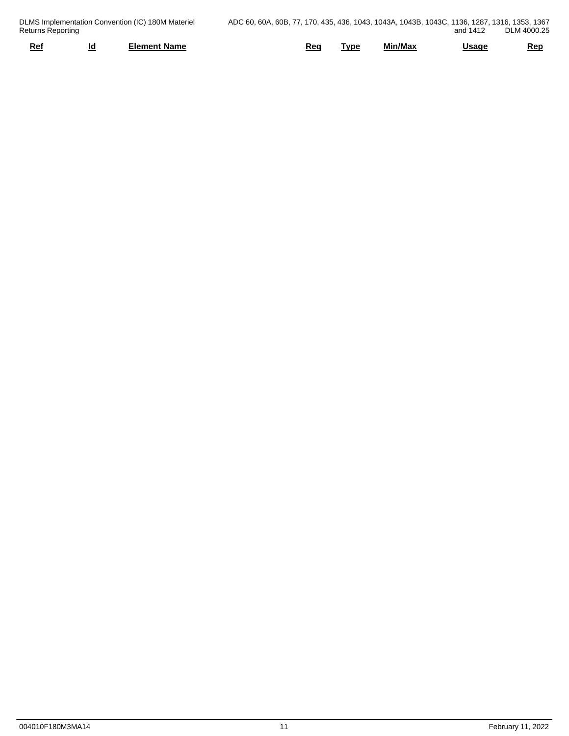| Returns Reporting | DLMS Implementation Convention (IC) 180M Materiel | ADC 60, 60A, 60B, 77, 170, 435, 436, 1043, 1043A, 1043B, 1043C, 1136, 1287, 1316, 1353, 1367 |            |         | and 1412 | DLM 4000.25 |
|-------------------|---------------------------------------------------|----------------------------------------------------------------------------------------------|------------|---------|----------|-------------|
| Ref               | Element Name                                      | Req                                                                                          | <b>VDE</b> | Min/Max | Usaqe    | <b>Rep</b>  |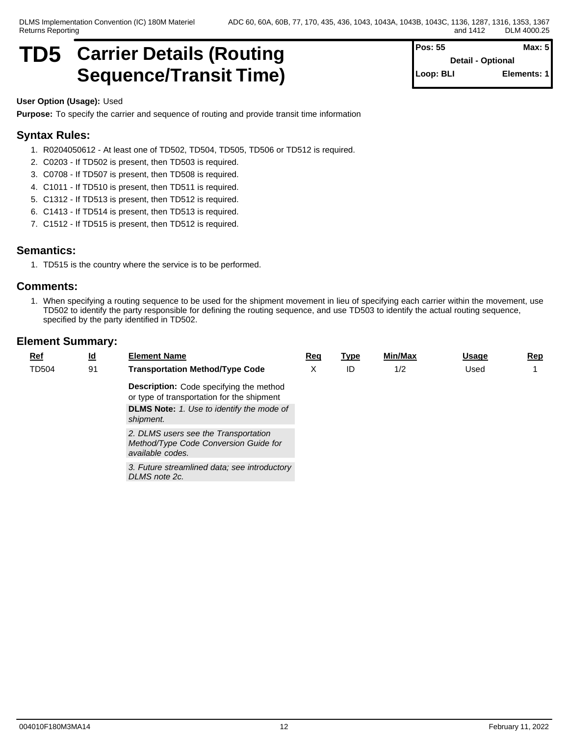# **TD5 Carrier Details (Routing Sequence/Transit Time)**

| Pos: 55   | Max: 5                   |
|-----------|--------------------------|
|           | <b>Detail - Optional</b> |
| Loop: BLI | Elements: 1              |

#### **User Option (Usage):** Used

**Purpose:** To specify the carrier and sequence of routing and provide transit time information

### **Syntax Rules:**

- 1. R0204050612 At least one of TD502, TD504, TD505, TD506 or TD512 is required.
- 2. C0203 If TD502 is present, then TD503 is required.
- 3. C0708 If TD507 is present, then TD508 is required.
- 4. C1011 If TD510 is present, then TD511 is required.
- 5. C1312 If TD513 is present, then TD512 is required.
- 6. C1413 If TD514 is present, then TD513 is required.
- 7. C1512 If TD515 is present, then TD512 is required.

#### **Semantics:**

1. TD515 is the country where the service is to be performed.

#### **Comments:**

1. When specifying a routing sequence to be used for the shipment movement in lieu of specifying each carrier within the movement, use TD502 to identify the party responsible for defining the routing sequence, and use TD503 to identify the actual routing sequence, specified by the party identified in TD502.

| <b>Ref</b>   | $\underline{\mathsf{Id}}$ | <b>Element Name</b>                                                                               | Req | <u>Type</u> | Min/Max | Usage | <b>Rep</b> |
|--------------|---------------------------|---------------------------------------------------------------------------------------------------|-----|-------------|---------|-------|------------|
| <b>TD504</b> | 91                        | <b>Transportation Method/Type Code</b>                                                            | X   | ID          | 1/2     | Used  |            |
|              |                           | <b>Description:</b> Code specifying the method<br>or type of transportation for the shipment      |     |             |         |       |            |
|              |                           | <b>DLMS Note:</b> 1. Use to identify the mode of<br>shipment.                                     |     |             |         |       |            |
|              |                           | 2. DLMS users see the Transportation<br>Method/Type Code Conversion Guide for<br>available codes. |     |             |         |       |            |
|              |                           | 3. Future streamlined data; see introductory<br>DLMS note 2c.                                     |     |             |         |       |            |
|              |                           |                                                                                                   |     |             |         |       |            |
|              |                           |                                                                                                   |     |             |         |       |            |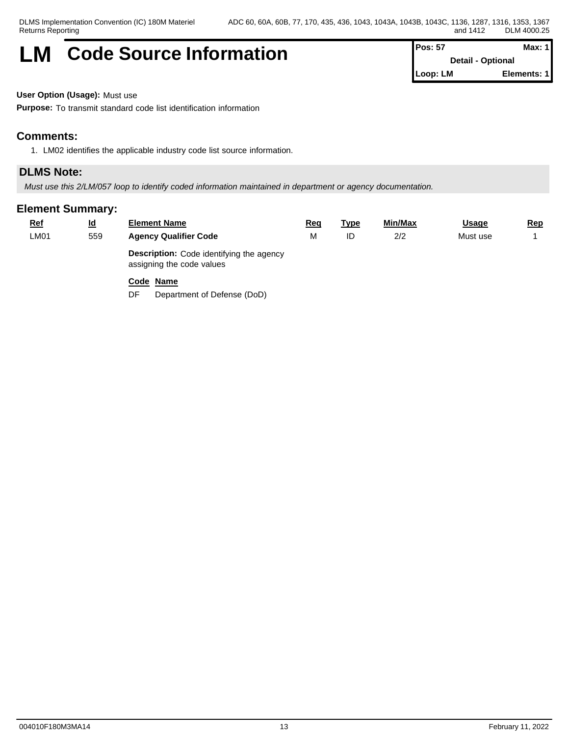# **LM** Code Source Information **Pos: 57 Max: 1 Max: 1**

**Detail - Optional Loop: LM Elements: 1**

**User Option (Usage):** Must use

**Purpose:** To transmit standard code list identification information

### **Comments:**

1. LM02 identifies the applicable industry code list source information.

### **DLMS Note:**

*Must use this 2/LM/057 loop to identify coded information maintained in department or agency documentation.*

#### **Element Summary:**

| <u>Ref</u> | <u>ld</u> | <b>Element Name</b>                                                          | Rea | <u> Type</u> | Min/Max | <u>Usage</u> | <u>Rep</u> |
|------------|-----------|------------------------------------------------------------------------------|-----|--------------|---------|--------------|------------|
| LM01       | 559       | <b>Agency Qualifier Code</b>                                                 |     | ID           | 2/2     | Must use     |            |
|            |           | <b>Description:</b> Code identifying the agency<br>assigning the code values |     |              |         |              |            |

#### **Code Name**

DF Department of Defense (DoD)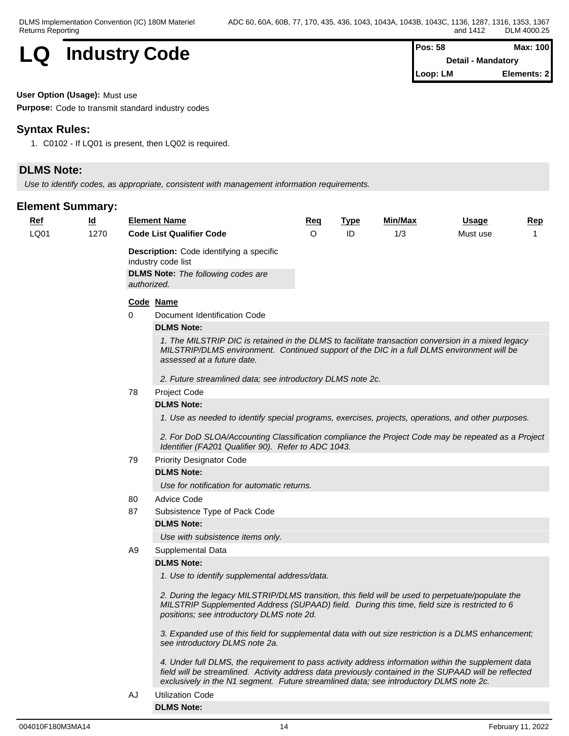

| os: 58   | Max: 100           |
|----------|--------------------|
|          | Detail - Mandatory |
| .oop: LM | Elements: 2        |

#### **User Option (Usage):** Must use

**Purpose:** Code to transmit standard industry codes

#### **Syntax Rules:**

1. C0102 - If LQ01 is present, then LQ02 is required.

# **DLMS Note:**

*Use to identify codes, as appropriate, consistent with management information requirements.*

| <u>Ref</u> | <u>ld</u> |             | <b>Element Name</b>                                                                                                                                                                                                                                                                                    | <b>Req</b> | <b>Type</b> | Min/Max | <u>Usage</u> | <b>Rep</b> |  |  |  |
|------------|-----------|-------------|--------------------------------------------------------------------------------------------------------------------------------------------------------------------------------------------------------------------------------------------------------------------------------------------------------|------------|-------------|---------|--------------|------------|--|--|--|
| LQ01       | 1270      |             | <b>Code List Qualifier Code</b>                                                                                                                                                                                                                                                                        | $\circ$    | ID          | 1/3     | Must use     | 1          |  |  |  |
|            |           |             | <b>Description:</b> Code identifying a specific<br>industry code list                                                                                                                                                                                                                                  |            |             |         |              |            |  |  |  |
|            |           | authorized. | <b>DLMS Note:</b> The following codes are                                                                                                                                                                                                                                                              |            |             |         |              |            |  |  |  |
|            |           |             | Code Name                                                                                                                                                                                                                                                                                              |            |             |         |              |            |  |  |  |
|            |           | 0           | Document Identification Code                                                                                                                                                                                                                                                                           |            |             |         |              |            |  |  |  |
|            |           |             | <b>DLMS Note:</b>                                                                                                                                                                                                                                                                                      |            |             |         |              |            |  |  |  |
|            |           |             | 1. The MILSTRIP DIC is retained in the DLMS to facilitate transaction conversion in a mixed legacy<br>MILSTRIP/DLMS environment. Continued support of the DIC in a full DLMS environment will be<br>assessed at a future date.                                                                         |            |             |         |              |            |  |  |  |
|            |           |             | 2. Future streamlined data; see introductory DLMS note 2c.                                                                                                                                                                                                                                             |            |             |         |              |            |  |  |  |
|            |           | 78          | Project Code                                                                                                                                                                                                                                                                                           |            |             |         |              |            |  |  |  |
|            |           |             | <b>DLMS Note:</b><br>1. Use as needed to identify special programs, exercises, projects, operations, and other purposes.                                                                                                                                                                               |            |             |         |              |            |  |  |  |
|            |           |             |                                                                                                                                                                                                                                                                                                        |            |             |         |              |            |  |  |  |
|            |           |             | 2. For DoD SLOA/Accounting Classification compliance the Project Code may be repeated as a Project<br>Identifier (FA201 Qualifier 90). Refer to ADC 1043.                                                                                                                                              |            |             |         |              |            |  |  |  |
|            |           | 79          | <b>Priority Designator Code</b>                                                                                                                                                                                                                                                                        |            |             |         |              |            |  |  |  |
|            |           |             | <b>DLMS Note:</b>                                                                                                                                                                                                                                                                                      |            |             |         |              |            |  |  |  |
|            |           |             | Use for notification for automatic returns.                                                                                                                                                                                                                                                            |            |             |         |              |            |  |  |  |
|            |           | 80          | <b>Advice Code</b>                                                                                                                                                                                                                                                                                     |            |             |         |              |            |  |  |  |
|            |           | 87          | Subsistence Type of Pack Code                                                                                                                                                                                                                                                                          |            |             |         |              |            |  |  |  |
|            |           |             | <b>DLMS Note:</b>                                                                                                                                                                                                                                                                                      |            |             |         |              |            |  |  |  |
|            |           |             | Use with subsistence items only.                                                                                                                                                                                                                                                                       |            |             |         |              |            |  |  |  |
|            |           | A9          | Supplemental Data                                                                                                                                                                                                                                                                                      |            |             |         |              |            |  |  |  |
|            |           |             | <b>DLMS Note:</b>                                                                                                                                                                                                                                                                                      |            |             |         |              |            |  |  |  |
|            |           |             | 1. Use to identify supplemental address/data.                                                                                                                                                                                                                                                          |            |             |         |              |            |  |  |  |
|            |           |             | 2. During the legacy MILSTRIP/DLMS transition, this field will be used to perpetuate/populate the<br>MILSTRIP Supplemented Address (SUPAAD) field. During this time, field size is restricted to 6<br>positions; see introductory DLMS note 2d.                                                        |            |             |         |              |            |  |  |  |
|            |           |             | 3. Expanded use of this field for supplemental data with out size restriction is a DLMS enhancement;<br>see introductory DLMS note 2a.                                                                                                                                                                 |            |             |         |              |            |  |  |  |
|            |           |             | 4. Under full DLMS, the requirement to pass activity address information within the supplement data<br>field will be streamlined. Activity address data previously contained in the SUPAAD will be reflected<br>exclusively in the N1 segment. Future streamlined data; see introductory DLMS note 2c. |            |             |         |              |            |  |  |  |
|            |           | AJ          | <b>Utilization Code</b>                                                                                                                                                                                                                                                                                |            |             |         |              |            |  |  |  |
|            |           |             | <b>DLMS Note:</b>                                                                                                                                                                                                                                                                                      |            |             |         |              |            |  |  |  |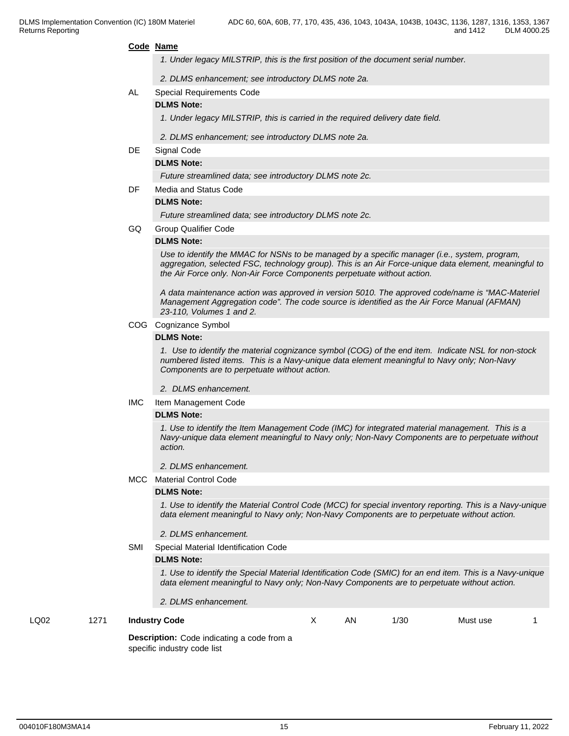#### **Code Name**

- *1. Under legacy MILSTRIP, this is the first position of the document serial number.*
- *2. DLMS enhancement; see introductory DLMS note 2a.*
- AL Special Requirements Code
	- **DLMS Note:**
		- *1. Under legacy MILSTRIP, this is carried in the required delivery date field.*
		- *2. DLMS enhancement; see introductory DLMS note 2a.*

#### DE Signal Code

#### **DLMS Note:**

*Future streamlined data; see introductory DLMS note 2c.*

DF Media and Status Code

#### **DLMS Note:**

*Future streamlined data; see introductory DLMS note 2c.*

GQ Group Qualifier Code

#### **DLMS Note:**

*Use to identify the MMAC for NSNs to be managed by a specific manager (i.e., system, program, aggregation, selected FSC, technology group). This is an Air Force-unique data element, meaningful to the Air Force only. Non-Air Force Components perpetuate without action.*

*A data maintenance action was approved in version 5010. The approved code/name is "MAC-Materiel Management Aggregation code". The code source is identified as the Air Force Manual (AFMAN) 23-110, Volumes 1 and 2.*

#### COG Cognizance Symbol

#### **DLMS Note:**

*1. Use to identify the material cognizance symbol (COG) of the end item. Indicate NSL for non-stock numbered listed items. This is a Navy-unique data element meaningful to Navy only; Non-Navy Components are to perpetuate without action.*

- *2. DLMS enhancement.*
- IMC Item Management Code

#### **DLMS Note:**

*1. Use to identify the Item Management Code (IMC) for integrated material management. This is a Navy-unique data element meaningful to Navy only; Non-Navy Components are to perpetuate without action.*

#### *2. DLMS enhancement.*

MCC Material Control Code

#### **DLMS Note:**

*1. Use to identify the Material Control Code (MCC) for special inventory reporting. This is a Navy-unique data element meaningful to Navy only; Non-Navy Components are to perpetuate without action.*

#### *2. DLMS enhancement.*

SMI Special Material Identification Code

#### **DLMS Note:**

*1. Use to identify the Special Material Identification Code (SMIC) for an end item. This is a Navy-unique data element meaningful to Navy only; Non-Navy Components are to perpetuate without action.*

*2. DLMS enhancement.*

#### LQ02 1271 **Industry Code** X AN 1/30 Must use 1

**Description:** Code indicating a code from a specific industry code list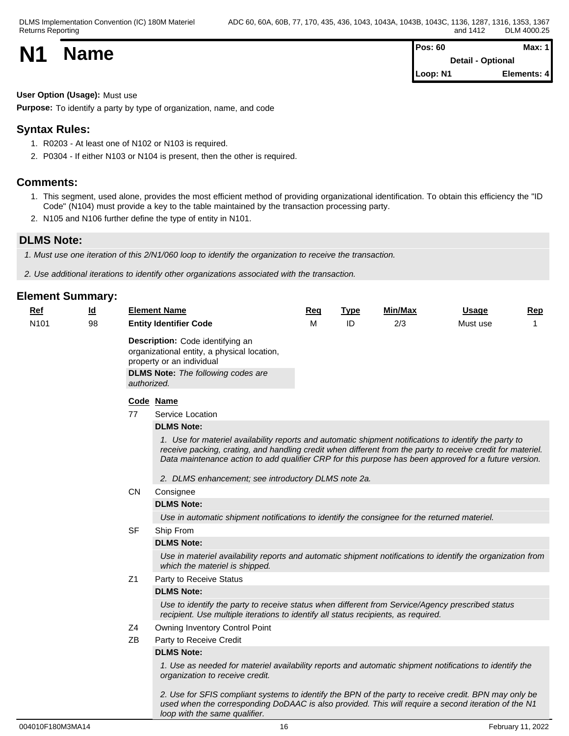| <b>N1</b> | <b>Name</b> | <b>Pos: 60</b>           | Max: 1      |  |
|-----------|-------------|--------------------------|-------------|--|
|           |             | <b>Detail - Optional</b> |             |  |
|           |             | Loop: N1                 | Elements: 4 |  |

# **User Option (Usage):** Must use

**Purpose:** To identify a party by type of organization, name, and code

# **Syntax Rules:**

- 1. R0203 At least one of N102 or N103 is required.
- 2. P0304 If either N103 or N104 is present, then the other is required.

# **Comments:**

- 1. This segment, used alone, provides the most efficient method of providing organizational identification. To obtain this efficiency the "ID Code" (N104) must provide a key to the table maintained by the transaction processing party.
- 2. N105 and N106 further define the type of entity in N101.

# **DLMS Note:**

*1. Must use one iteration of this 2/N1/060 loop to identify the organization to receive the transaction.*

*2. Use additional iterations to identify other organizations associated with the transaction.*

# **Element Summary:**

| <b>Ref</b>       | $\underline{\mathsf{Id}}$ |                | <b>Element Name</b>                                                                                                                                                                                                                                                                                                                                                                   | Req | <b>Type</b> | <b>Min/Max</b> | <b>Usage</b> | <b>Rep</b> |  |  |
|------------------|---------------------------|----------------|---------------------------------------------------------------------------------------------------------------------------------------------------------------------------------------------------------------------------------------------------------------------------------------------------------------------------------------------------------------------------------------|-----|-------------|----------------|--------------|------------|--|--|
| N <sub>101</sub> | 98                        |                | <b>Entity Identifier Code</b>                                                                                                                                                                                                                                                                                                                                                         | M   | ID          | 2/3            | Must use     |            |  |  |
|                  |                           |                | Description: Code identifying an<br>organizational entity, a physical location,<br>property or an individual<br><b>DLMS Note:</b> The following codes are<br>authorized.                                                                                                                                                                                                              |     |             |                |              |            |  |  |
|                  |                           |                | Code Name                                                                                                                                                                                                                                                                                                                                                                             |     |             |                |              |            |  |  |
|                  |                           | 77             | Service Location                                                                                                                                                                                                                                                                                                                                                                      |     |             |                |              |            |  |  |
|                  |                           |                | <b>DLMS Note:</b>                                                                                                                                                                                                                                                                                                                                                                     |     |             |                |              |            |  |  |
|                  |                           |                | 1. Use for materiel availability reports and automatic shipment notifications to identify the party to<br>receive packing, crating, and handling credit when different from the party to receive credit for materiel.<br>Data maintenance action to add qualifier CRP for this purpose has been approved for a future version.<br>2. DLMS enhancement; see introductory DLMS note 2a. |     |             |                |              |            |  |  |
|                  |                           | <b>CN</b>      | Consignee                                                                                                                                                                                                                                                                                                                                                                             |     |             |                |              |            |  |  |
|                  |                           |                | <b>DLMS Note:</b>                                                                                                                                                                                                                                                                                                                                                                     |     |             |                |              |            |  |  |
|                  |                           |                | Use in automatic shipment notifications to identify the consignee for the returned materiel.                                                                                                                                                                                                                                                                                          |     |             |                |              |            |  |  |
|                  |                           | <b>SF</b>      | Ship From                                                                                                                                                                                                                                                                                                                                                                             |     |             |                |              |            |  |  |
|                  |                           |                | <b>DLMS Note:</b>                                                                                                                                                                                                                                                                                                                                                                     |     |             |                |              |            |  |  |
|                  |                           |                | Use in materiel availability reports and automatic shipment notifications to identify the organization from<br>which the materiel is shipped.                                                                                                                                                                                                                                         |     |             |                |              |            |  |  |
|                  |                           | Z <sub>1</sub> | Party to Receive Status                                                                                                                                                                                                                                                                                                                                                               |     |             |                |              |            |  |  |
|                  |                           |                | <b>DLMS Note:</b>                                                                                                                                                                                                                                                                                                                                                                     |     |             |                |              |            |  |  |
|                  |                           |                | Use to identify the party to receive status when different from Service/Agency prescribed status<br>recipient. Use multiple iterations to identify all status recipients, as required.                                                                                                                                                                                                |     |             |                |              |            |  |  |
|                  |                           | Z4             | Owning Inventory Control Point                                                                                                                                                                                                                                                                                                                                                        |     |             |                |              |            |  |  |
|                  |                           | ZB             | Party to Receive Credit                                                                                                                                                                                                                                                                                                                                                               |     |             |                |              |            |  |  |
|                  |                           |                | <b>DLMS Note:</b>                                                                                                                                                                                                                                                                                                                                                                     |     |             |                |              |            |  |  |
|                  |                           |                | 1. Use as needed for materiel availability reports and automatic shipment notifications to identify the<br>organization to receive credit.                                                                                                                                                                                                                                            |     |             |                |              |            |  |  |
|                  |                           |                | 2. Use for SFIS compliant systems to identify the BPN of the party to receive credit. BPN may only be<br>used when the corresponding DoDAAC is also provided. This will require a second iteration of the N1                                                                                                                                                                          |     |             |                |              |            |  |  |

*loop with the same qualifier.*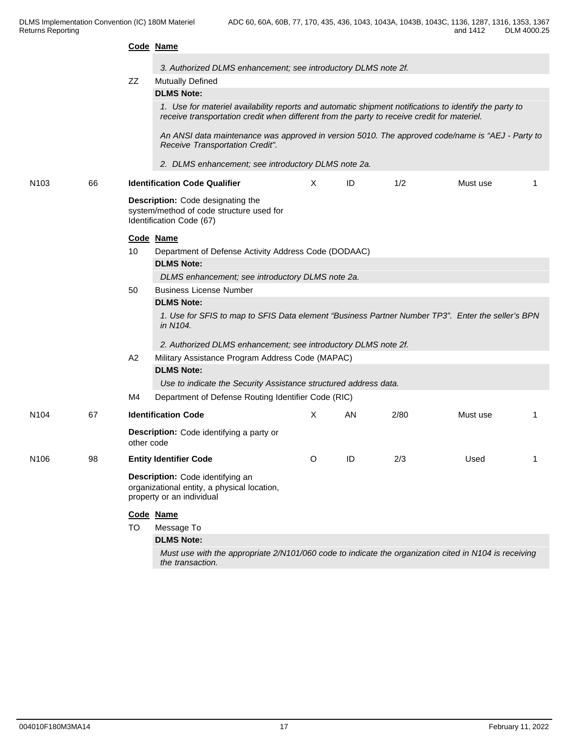|                  |    |            | Code Name                                                                                                                                                                                             |              |     |      |          |  |  |  |  |  |
|------------------|----|------------|-------------------------------------------------------------------------------------------------------------------------------------------------------------------------------------------------------|--------------|-----|------|----------|--|--|--|--|--|
|                  |    |            | 3. Authorized DLMS enhancement; see introductory DLMS note 2f.                                                                                                                                        |              |     |      |          |  |  |  |  |  |
|                  |    | ZZ         | <b>Mutually Defined</b>                                                                                                                                                                               |              |     |      |          |  |  |  |  |  |
|                  |    |            | <b>DLMS Note:</b>                                                                                                                                                                                     |              |     |      |          |  |  |  |  |  |
|                  |    |            | 1. Use for materiel availability reports and automatic shipment notifications to identify the party to<br>receive transportation credit when different from the party to receive credit for materiel. |              |     |      |          |  |  |  |  |  |
|                  |    |            | An ANSI data maintenance was approved in version 5010. The approved code/name is "AEJ - Party to<br>Receive Transportation Credit".                                                                   |              |     |      |          |  |  |  |  |  |
|                  |    |            | 2. DLMS enhancement; see introductory DLMS note 2a.                                                                                                                                                   |              |     |      |          |  |  |  |  |  |
| N <sub>103</sub> | 66 |            | <b>Identification Code Qualifier</b>                                                                                                                                                                  | X            | ID  | 1/2  | Must use |  |  |  |  |  |
|                  |    |            | Description: Code designating the<br>system/method of code structure used for<br>Identification Code (67)                                                                                             |              |     |      |          |  |  |  |  |  |
|                  |    | 10         | Code Name                                                                                                                                                                                             |              |     |      |          |  |  |  |  |  |
|                  |    |            | Department of Defense Activity Address Code (DODAAC)                                                                                                                                                  |              |     |      |          |  |  |  |  |  |
|                  |    |            | <b>DLMS Note:</b>                                                                                                                                                                                     |              |     |      |          |  |  |  |  |  |
|                  |    |            | DLMS enhancement; see introductory DLMS note 2a.                                                                                                                                                      |              |     |      |          |  |  |  |  |  |
|                  |    | 50         | <b>Business License Number</b>                                                                                                                                                                        |              |     |      |          |  |  |  |  |  |
|                  |    |            | <b>DLMS Note:</b>                                                                                                                                                                                     |              |     |      |          |  |  |  |  |  |
|                  |    |            | 1. Use for SFIS to map to SFIS Data element "Business Partner Number TP3". Enter the seller's BPN<br>in N104.                                                                                         |              |     |      |          |  |  |  |  |  |
|                  |    |            | 2. Authorized DLMS enhancement; see introductory DLMS note 2f.                                                                                                                                        |              |     |      |          |  |  |  |  |  |
|                  |    | A2         | Military Assistance Program Address Code (MAPAC)                                                                                                                                                      |              |     |      |          |  |  |  |  |  |
|                  |    |            | <b>DLMS Note:</b>                                                                                                                                                                                     |              |     |      |          |  |  |  |  |  |
|                  |    |            | Use to indicate the Security Assistance structured address data.                                                                                                                                      |              |     |      |          |  |  |  |  |  |
|                  |    | M4         | Department of Defense Routing Identifier Code (RIC)                                                                                                                                                   |              |     |      |          |  |  |  |  |  |
| N <sub>104</sub> | 67 |            | <b>Identification Code</b>                                                                                                                                                                            | $\mathsf{X}$ | AN. | 2/80 | Must use |  |  |  |  |  |
|                  |    | other code | Description: Code identifying a party or                                                                                                                                                              |              |     |      |          |  |  |  |  |  |
| N106             | 98 |            | <b>Entity Identifier Code</b>                                                                                                                                                                         | $\circ$      | ID  | 2/3  | Used     |  |  |  |  |  |
|                  |    |            | Description: Code identifying an<br>organizational entity, a physical location,<br>property or an individual                                                                                          |              |     |      |          |  |  |  |  |  |
|                  |    |            | Code Name                                                                                                                                                                                             |              |     |      |          |  |  |  |  |  |
|                  |    | TO         | Message To                                                                                                                                                                                            |              |     |      |          |  |  |  |  |  |
|                  |    |            | <b>DLMS Note:</b>                                                                                                                                                                                     |              |     |      |          |  |  |  |  |  |
|                  |    |            | Must use with the appropriate 2/N101/060 code to indicate the organization cited in N104 is receiving<br>the transaction.                                                                             |              |     |      |          |  |  |  |  |  |
|                  |    |            |                                                                                                                                                                                                       |              |     |      |          |  |  |  |  |  |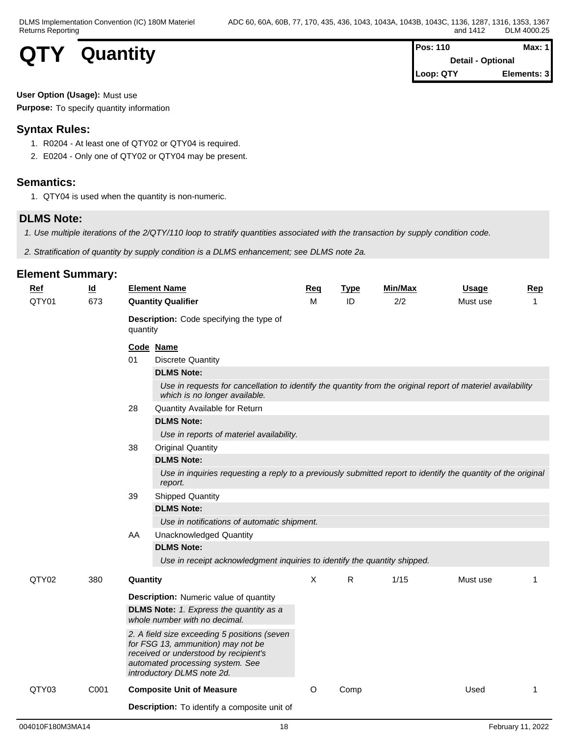

| Pos: 110  | Max: $1$                 |
|-----------|--------------------------|
|           | <b>Detail - Optional</b> |
| Loop: QTY | Elements: 3              |

#### **User Option (Usage):** Must use

**Purpose:** To specify quantity information

# **Syntax Rules:**

- 1. R0204 At least one of QTY02 or QTY04 is required.
- 2. E0204 Only one of QTY02 or QTY04 may be present.

#### **Semantics:**

1. QTY04 is used when the quantity is non-numeric.

### **DLMS Note:**

*1. Use multiple iterations of the 2/QTY/110 loop to stratify quantities associated with the transaction by supply condition code.*

*2. Stratification of quantity by supply condition is a DLMS enhancement; see DLMS note 2a.*

| Ref   | $\underline{\mathsf{Id}}$ |                                                                                 | <b>Element Name</b>                                                                                                                                                                           | Req | <b>Type</b> | Min/Max | Usage    | <b>Rep</b>   |  |  |  |  |  |
|-------|---------------------------|---------------------------------------------------------------------------------|-----------------------------------------------------------------------------------------------------------------------------------------------------------------------------------------------|-----|-------------|---------|----------|--------------|--|--|--|--|--|
| QTY01 | 673                       |                                                                                 | <b>Quantity Qualifier</b>                                                                                                                                                                     | M   | ID          | 2/2     | Must use | $\mathbf{1}$ |  |  |  |  |  |
|       |                           | quantity                                                                        | Description: Code specifying the type of                                                                                                                                                      |     |             |         |          |              |  |  |  |  |  |
|       |                           | 01                                                                              | Code Name                                                                                                                                                                                     |     |             |         |          |              |  |  |  |  |  |
|       |                           |                                                                                 | <b>Discrete Quantity</b>                                                                                                                                                                      |     |             |         |          |              |  |  |  |  |  |
|       |                           |                                                                                 | <b>DLMS Note:</b>                                                                                                                                                                             |     |             |         |          |              |  |  |  |  |  |
|       |                           |                                                                                 | Use in requests for cancellation to identify the quantity from the original report of materiel availability<br>which is no longer available.                                                  |     |             |         |          |              |  |  |  |  |  |
|       |                           | 28                                                                              | Quantity Available for Return                                                                                                                                                                 |     |             |         |          |              |  |  |  |  |  |
|       |                           |                                                                                 | <b>DLMS Note:</b>                                                                                                                                                                             |     |             |         |          |              |  |  |  |  |  |
|       | 38                        |                                                                                 | Use in reports of materiel availability.                                                                                                                                                      |     |             |         |          |              |  |  |  |  |  |
|       |                           |                                                                                 | <b>Original Quantity</b>                                                                                                                                                                      |     |             |         |          |              |  |  |  |  |  |
|       |                           |                                                                                 | <b>DLMS Note:</b>                                                                                                                                                                             |     |             |         |          |              |  |  |  |  |  |
|       |                           |                                                                                 | Use in inquiries requesting a reply to a previously submitted report to identify the quantity of the original<br>report.                                                                      |     |             |         |          |              |  |  |  |  |  |
|       |                           | 39                                                                              | <b>Shipped Quantity</b>                                                                                                                                                                       |     |             |         |          |              |  |  |  |  |  |
|       |                           |                                                                                 | <b>DLMS Note:</b>                                                                                                                                                                             |     |             |         |          |              |  |  |  |  |  |
|       |                           |                                                                                 | Use in notifications of automatic shipment.                                                                                                                                                   |     |             |         |          |              |  |  |  |  |  |
|       |                           | AA                                                                              | <b>Unacknowledged Quantity</b>                                                                                                                                                                |     |             |         |          |              |  |  |  |  |  |
|       |                           |                                                                                 | <b>DLMS Note:</b>                                                                                                                                                                             |     |             |         |          |              |  |  |  |  |  |
|       |                           |                                                                                 | Use in receipt acknowledgment inquiries to identify the quantity shipped.                                                                                                                     |     |             |         |          |              |  |  |  |  |  |
| QTY02 | 380                       | Quantity                                                                        |                                                                                                                                                                                               | X   | R           | 1/15    | Must use | 1            |  |  |  |  |  |
|       |                           |                                                                                 | <b>Description:</b> Numeric value of quantity                                                                                                                                                 |     |             |         |          |              |  |  |  |  |  |
|       |                           | <b>DLMS Note:</b> 1. Express the quantity as a<br>whole number with no decimal. |                                                                                                                                                                                               |     |             |         |          |              |  |  |  |  |  |
|       |                           |                                                                                 | 2. A field size exceeding 5 positions (seven<br>for FSG 13, ammunition) may not be<br>received or understood by recipient's<br>automated processing system. See<br>introductory DLMS note 2d. |     |             |         |          |              |  |  |  |  |  |
| QTY03 | C001                      |                                                                                 | <b>Composite Unit of Measure</b>                                                                                                                                                              | O   | Comp        |         | Used     | 1            |  |  |  |  |  |
|       |                           |                                                                                 | Description: To identify a composite unit of                                                                                                                                                  |     |             |         |          |              |  |  |  |  |  |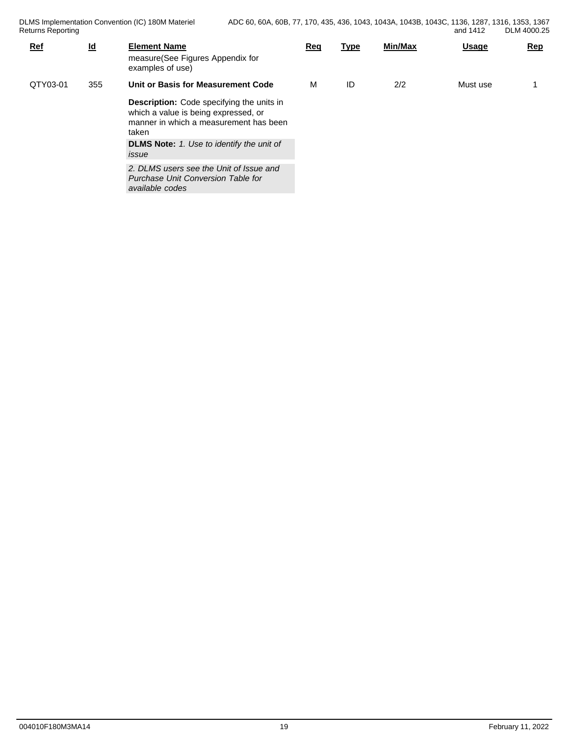| <b>Ref</b> | $\underline{\mathsf{Id}}$ | <b>Element Name</b><br>measure(See Figures Appendix for<br>examples of use)                                                                                                                     | Req | <b>Type</b> | Min/Max | <b>Usage</b> | <u>Rep</u> |
|------------|---------------------------|-------------------------------------------------------------------------------------------------------------------------------------------------------------------------------------------------|-----|-------------|---------|--------------|------------|
| QTY03-01   | 355                       | Unit or Basis for Measurement Code                                                                                                                                                              |     | ID          | 2/2     | Must use     |            |
|            |                           | <b>Description:</b> Code specifying the units in<br>which a value is being expressed, or<br>manner in which a measurement has been<br>taken<br><b>DLMS Note:</b> 1. Use to identify the unit of |     |             |         |              |            |
|            |                           | issue<br>2. DLMS users see the Unit of Issue and<br>Purchase Unit Conversion Table for<br>available codes                                                                                       |     |             |         |              |            |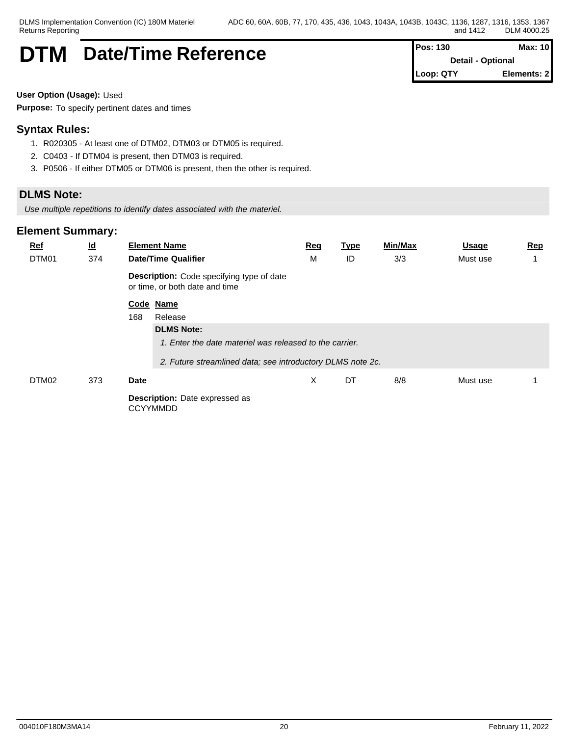# **DTM** Date/Time Reference **Pos: 130** Max: 10

**Detail - Optional Loop: QTY Elements: 2**

**User Option (Usage):** Used

**Purpose:** To specify pertinent dates and times

# **Syntax Rules:**

- 1. R020305 At least one of DTM02, DTM03 or DTM05 is required.
- 2. C0403 If DTM04 is present, then DTM03 is required.
- 3. P0506 If either DTM05 or DTM06 is present, then the other is required.

# **DLMS Note:**

*Use multiple repetitions to identify dates associated with the materiel.*

| $Ref$<br>DTM01 | $\underline{\mathsf{Id}}$<br>374 |      | <b>Element Name</b><br><b>Date/Time Qualifier</b>                           | Req<br>M | <u>Type</u><br>ID | Min/Max<br>3/3 | <u>Usage</u><br>Must use | <b>Rep</b> |
|----------------|----------------------------------|------|-----------------------------------------------------------------------------|----------|-------------------|----------------|--------------------------|------------|
|                |                                  |      | Description: Code specifying type of date<br>or time, or both date and time |          |                   |                |                          |            |
|                |                                  |      | Code Name                                                                   |          |                   |                |                          |            |
|                |                                  | 168  | Release                                                                     |          |                   |                |                          |            |
|                |                                  |      | <b>DLMS Note:</b>                                                           |          |                   |                |                          |            |
|                |                                  |      | 1. Enter the date materiel was released to the carrier.                     |          |                   |                |                          |            |
|                |                                  |      | 2. Future streamlined data; see introductory DLMS note 2c.                  |          |                   |                |                          |            |
| DTM02          | 373                              | Date |                                                                             | X        | DT                | 8/8            | Must use                 |            |
|                |                                  |      | <b>Description:</b> Date expressed as<br><b>CCYYMMDD</b>                    |          |                   |                |                          |            |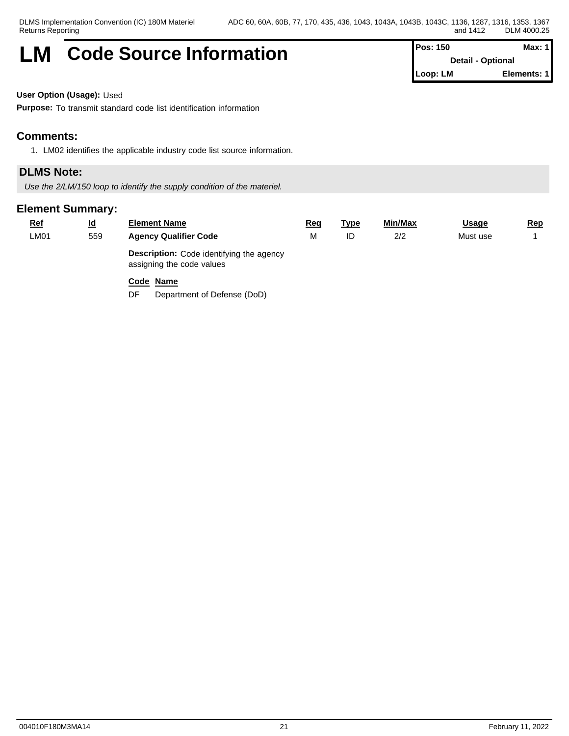# **LM** Code Source Information **Pos: 150** Max: 1

**Detail - Optional Loop: LM Elements: 1**

**User Option (Usage):** Used

**Purpose:** To transmit standard code list identification information

### **Comments:**

1. LM02 identifies the applicable industry code list source information.

### **DLMS Note:**

*Use the 2/LM/150 loop to identify the supply condition of the materiel.*

#### **Element Summary:**

| <u>Ref</u> | <u>ld</u> | <b>Element Name</b>                                                          | Req | <u> Type</u> | Min/Max | <u>Usage</u> | <u>Rep</u> |
|------------|-----------|------------------------------------------------------------------------------|-----|--------------|---------|--------------|------------|
| LM01       | 559       | <b>Agency Qualifier Code</b>                                                 | М   | ID           | 2/2     | Must use     |            |
|            |           | <b>Description:</b> Code identifying the agency<br>assigning the code values |     |              |         |              |            |

#### **Code Name**

DF Department of Defense (DoD)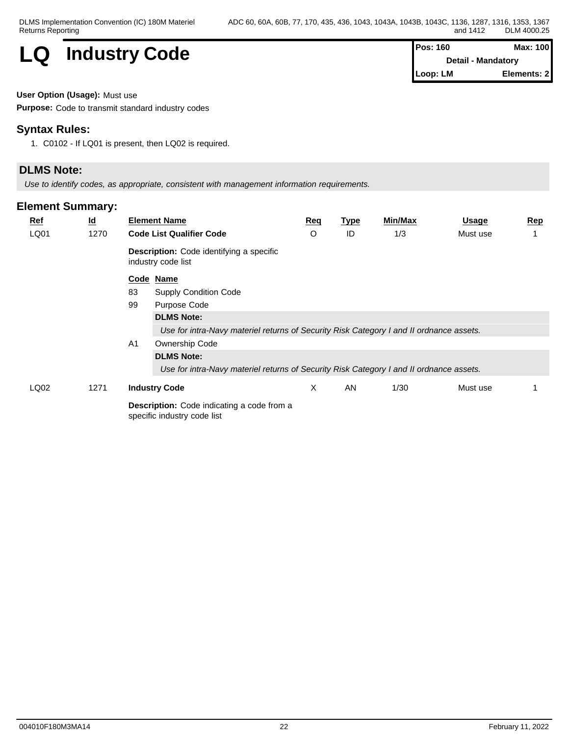

**Detail - Mandatory Loop: LM Elements: 2**

#### **User Option (Usage):** Must use

**Purpose:** Code to transmit standard industry codes

### **Syntax Rules:**

1. C0102 - If LQ01 is present, then LQ02 is required.

# **DLMS Note:**

*Use to identify codes, as appropriate, consistent with management information requirements.*

| $Ref$ | $\underline{\mathsf{Id}}$ |                | <b>Element Name</b>                                                                     | Req | <b>Type</b> | <b>Min/Max</b> | <b>Usage</b> | Rep |  |
|-------|---------------------------|----------------|-----------------------------------------------------------------------------------------|-----|-------------|----------------|--------------|-----|--|
| LQ01  | 1270                      |                | <b>Code List Qualifier Code</b>                                                         | O   | ID          | 1/3            | Must use     |     |  |
|       |                           |                | <b>Description:</b> Code identifying a specific<br>industry code list                   |     |             |                |              |     |  |
|       |                           |                | Code Name                                                                               |     |             |                |              |     |  |
|       |                           | 83             | <b>Supply Condition Code</b>                                                            |     |             |                |              |     |  |
|       |                           | 99             | Purpose Code                                                                            |     |             |                |              |     |  |
|       |                           |                | <b>DLMS Note:</b>                                                                       |     |             |                |              |     |  |
|       |                           |                | Use for intra-Navy materiel returns of Security Risk Category I and II ordnance assets. |     |             |                |              |     |  |
|       |                           | A <sub>1</sub> | Ownership Code                                                                          |     |             |                |              |     |  |
|       |                           |                | <b>DLMS Note:</b>                                                                       |     |             |                |              |     |  |
|       |                           |                | Use for intra-Navy materiel returns of Security Risk Category I and II ordnance assets. |     |             |                |              |     |  |
| LQ02  | 1271                      |                | <b>Industry Code</b>                                                                    | X   | AN          | 1/30           | Must use     |     |  |
|       |                           |                | <b>Description:</b> Code indicating a code from a<br>specific industry code list        |     |             |                |              |     |  |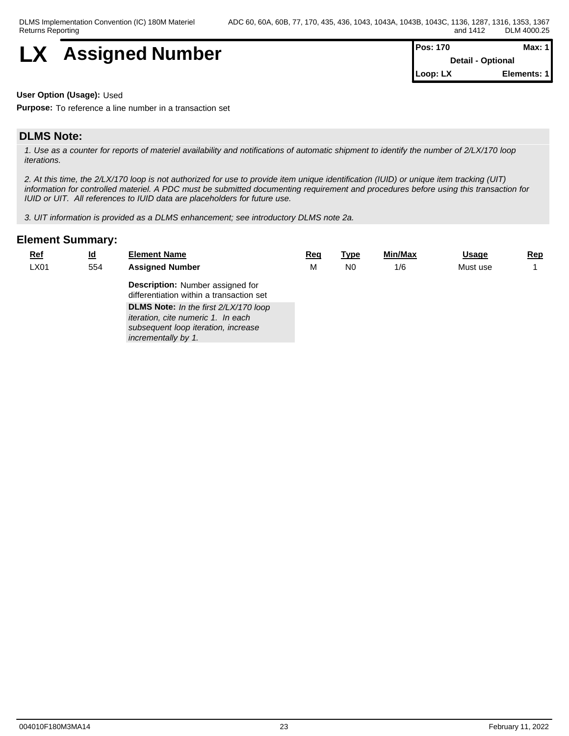

| <b>Pos: 170</b> | Max: $1$                 |  |
|-----------------|--------------------------|--|
|                 | <b>Detail - Optional</b> |  |
| Loop: LX        | Elements: 1              |  |

**User Option (Usage):** Used

**Purpose:** To reference a line number in a transaction set

#### **DLMS Note:**

*1. Use as a counter for reports of materiel availability and notifications of automatic shipment to identify the number of 2/LX/170 loop iterations.*

*2. At this time, the 2/LX/170 loop is not authorized for use to provide item unique identification (IUID) or unique item tracking (UIT) information for controlled materiel. A PDC must be submitted documenting requirement and procedures before using this transaction for IUID or UIT. All references to IUID data are placeholders for future use.*

*3. UIT information is provided as a DLMS enhancement; see introductory DLMS note 2a.*

| LX01<br><b>Assigned Number</b><br>Must use<br>N <sub>0</sub><br>1/6<br>554<br>М<br><b>Description:</b> Number assigned for<br>differentiation within a transaction set<br><b>DLMS Note:</b> In the first 2/LX/170 loop<br>iteration, cite numeric 1. In each<br>subsequent loop iteration, increase<br>incrementally by 1. | <b>Ref</b> | $\underline{\mathsf{Id}}$ | <b>Element Name</b> | <u>Req</u> | <u>Type</u> | Min/Max | <b>Usage</b> | Rep |
|----------------------------------------------------------------------------------------------------------------------------------------------------------------------------------------------------------------------------------------------------------------------------------------------------------------------------|------------|---------------------------|---------------------|------------|-------------|---------|--------------|-----|
|                                                                                                                                                                                                                                                                                                                            |            |                           |                     |            |             |         |              |     |
|                                                                                                                                                                                                                                                                                                                            |            |                           |                     |            |             |         |              |     |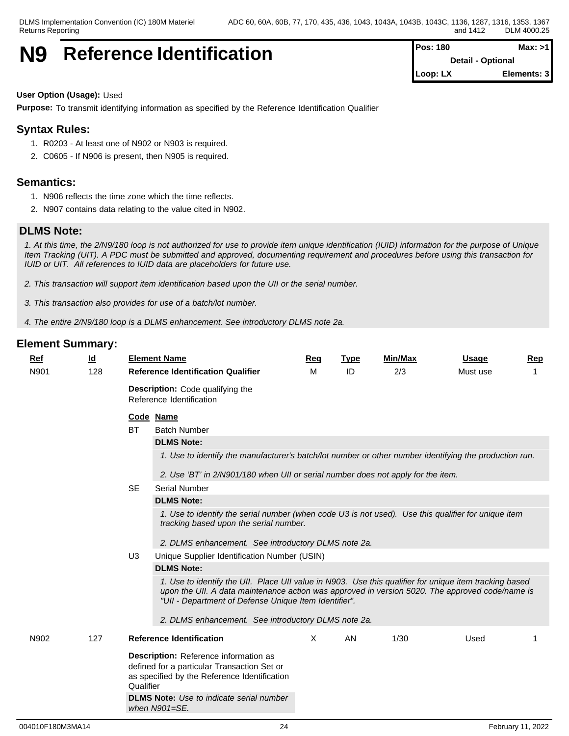# **N9** Reference Identification **Pos: 180 Max: >1 Max: >1**

**Detail - Optional Loop: LX Elements: 3**

#### **User Option (Usage):** Used

**Purpose:** To transmit identifying information as specified by the Reference Identification Qualifier

# **Syntax Rules:**

- 1. R0203 At least one of N902 or N903 is required.
- 2. C0605 If N906 is present, then N905 is required.

#### **Semantics:**

- 1. N906 reflects the time zone which the time reflects.
- 2. N907 contains data relating to the value cited in N902.

#### **DLMS Note:**

*1. At this time, the 2/N9/180 loop is not authorized for use to provide item unique identification (IUID) information for the purpose of Unique Item Tracking (UIT). A PDC must be submitted and approved, documenting requirement and procedures before using this transaction for IUID or UIT. All references to IUID data are placeholders for future use.*

*2. This transaction will support item identification based upon the UII or the serial number.*

*3. This transaction also provides for use of a batch/lot number.*

*4. The entire 2/N9/180 loop is a DLMS enhancement. See introductory DLMS note 2a.*

| $Ref$ | $\underline{\mathsf{Id}}$ |                | <b>Element Name</b>                                                                                                                                                                                                                                                | Req | <b>Type</b> | Min/Max | <b>Usage</b> | Rep |  |  |  |
|-------|---------------------------|----------------|--------------------------------------------------------------------------------------------------------------------------------------------------------------------------------------------------------------------------------------------------------------------|-----|-------------|---------|--------------|-----|--|--|--|
| N901  | 128                       |                | <b>Reference Identification Qualifier</b>                                                                                                                                                                                                                          | м   | ID          | 2/3     | Must use     |     |  |  |  |
|       |                           |                | <b>Description:</b> Code qualifying the<br>Reference Identification                                                                                                                                                                                                |     |             |         |              |     |  |  |  |
|       |                           |                | Code Name                                                                                                                                                                                                                                                          |     |             |         |              |     |  |  |  |
|       |                           | <b>BT</b>      | <b>Batch Number</b>                                                                                                                                                                                                                                                |     |             |         |              |     |  |  |  |
|       |                           |                | <b>DLMS Note:</b>                                                                                                                                                                                                                                                  |     |             |         |              |     |  |  |  |
|       |                           |                | 1. Use to identify the manufacturer's batch/lot number or other number identifying the production run.                                                                                                                                                             |     |             |         |              |     |  |  |  |
|       |                           |                | 2. Use 'BT' in 2/N901/180 when UII or serial number does not apply for the item.                                                                                                                                                                                   |     |             |         |              |     |  |  |  |
|       |                           | <b>SE</b>      | <b>Serial Number</b>                                                                                                                                                                                                                                               |     |             |         |              |     |  |  |  |
|       |                           |                | <b>DLMS Note:</b>                                                                                                                                                                                                                                                  |     |             |         |              |     |  |  |  |
|       |                           |                | 1. Use to identify the serial number (when code U3 is not used). Use this qualifier for unique item<br>tracking based upon the serial number.                                                                                                                      |     |             |         |              |     |  |  |  |
|       |                           |                | 2. DLMS enhancement. See introductory DLMS note 2a.                                                                                                                                                                                                                |     |             |         |              |     |  |  |  |
|       |                           | U <sub>3</sub> | Unique Supplier Identification Number (USIN)                                                                                                                                                                                                                       |     |             |         |              |     |  |  |  |
|       |                           |                | <b>DLMS Note:</b>                                                                                                                                                                                                                                                  |     |             |         |              |     |  |  |  |
|       |                           |                | 1. Use to identify the UII. Place UII value in N903. Use this qualifier for unique item tracking based<br>upon the UII. A data maintenance action was approved in version 5020. The approved code/name is<br>"Ull - Department of Defense Unique Item Identifier". |     |             |         |              |     |  |  |  |
|       |                           |                | 2. DLMS enhancement. See introductory DLMS note 2a.                                                                                                                                                                                                                |     |             |         |              |     |  |  |  |
| N902  | 127                       |                | <b>Reference Identification</b>                                                                                                                                                                                                                                    | X   | AN          | 1/30    | Used         |     |  |  |  |
|       |                           | Qualifier      | Description: Reference information as<br>defined for a particular Transaction Set or<br>as specified by the Reference Identification<br><b>DLMS Note:</b> Use to indicate serial number                                                                            |     |             |         |              |     |  |  |  |
|       |                           |                | when N901=SE.                                                                                                                                                                                                                                                      |     |             |         |              |     |  |  |  |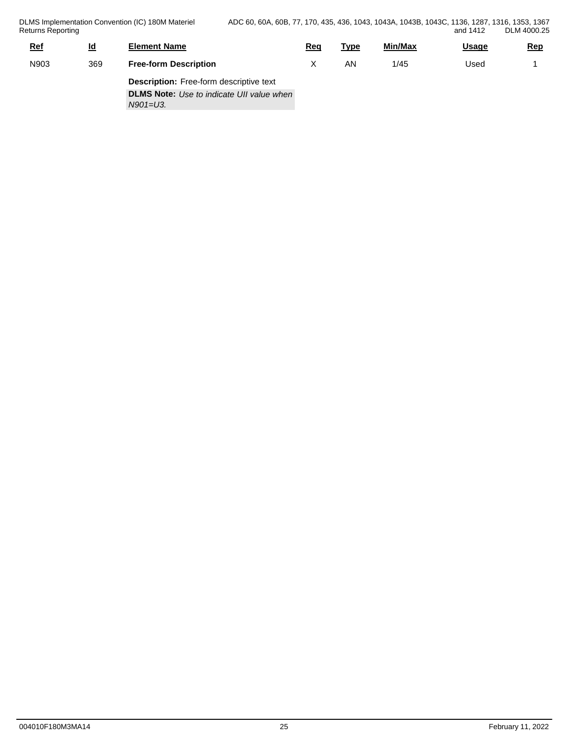DLMS Implementation Convention (IC) 180M Materiel Returns Reporting

| <u>Ref</u> | <u>ld</u> | <b>Element Name</b>                              | Req | Type | Min/Max | <u>Usage</u> | <u>Rep</u> |
|------------|-----------|--------------------------------------------------|-----|------|---------|--------------|------------|
| N903       | 369       | <b>Free-form Description</b>                     |     | ΑN   | 1/45    | Used         |            |
|            |           | <b>Description:</b> Free-form descriptive text   |     |      |         |              |            |
|            |           | <b>DLMS Note:</b> Use to indicate UII value when |     |      |         |              |            |
|            |           | $N901 = U3$ .                                    |     |      |         |              |            |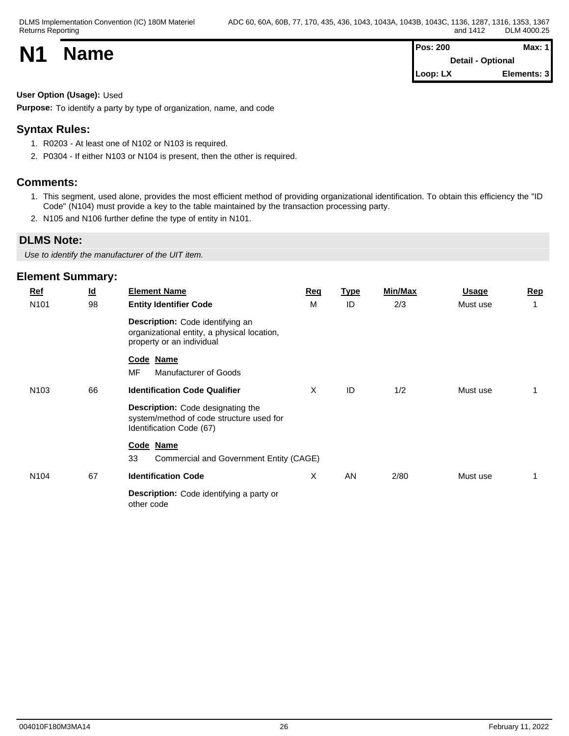| <b>N1</b> |             | <b>Pos: 200</b>          |             |  |  |
|-----------|-------------|--------------------------|-------------|--|--|
|           | <b>Name</b> | <b>Detail - Optional</b> |             |  |  |
|           |             | Loop: LX                 | Elements: 3 |  |  |

#### **User Option (Usage):** Used

**Purpose:** To identify a party by type of organization, name, and code

# **Syntax Rules:**

- 1. R0203 At least one of N102 or N103 is required.
- 2. P0304 If either N103 or N104 is present, then the other is required.

#### **Comments:**

- 1. This segment, used alone, provides the most efficient method of providing organizational identification. To obtain this efficiency the "ID Code" (N104) must provide a key to the table maintained by the transaction processing party.
- 2. N105 and N106 further define the type of entity in N101.

# **DLMS Note:**

*Use to identify the manufacturer of the UIT item.*

| <b>Ref</b>       | $\underline{\mathsf{Id}}$ | <b>Element Name</b>                                                                                              | Req | <u>Type</u> | Min/Max | <b>Usage</b> | Rep         |
|------------------|---------------------------|------------------------------------------------------------------------------------------------------------------|-----|-------------|---------|--------------|-------------|
| N <sub>101</sub> | 98                        | <b>Entity Identifier Code</b>                                                                                    | M   | ID          | 2/3     | Must use     | $\mathbf 1$ |
|                  |                           | Description: Code identifying an<br>organizational entity, a physical location,<br>property or an individual     |     |             |         |              |             |
|                  |                           | Code Name<br>MF<br>Manufacturer of Goods                                                                         |     |             |         |              |             |
| N <sub>103</sub> | 66                        | <b>Identification Code Qualifier</b>                                                                             | X   | ID          | 1/2     | Must use     |             |
|                  |                           | <b>Description:</b> Code designating the<br>system/method of code structure used for<br>Identification Code (67) |     |             |         |              |             |
|                  |                           | Code Name                                                                                                        |     |             |         |              |             |
|                  |                           | 33<br>Commercial and Government Entity (CAGE)                                                                    |     |             |         |              |             |
| N <sub>104</sub> | 67                        | <b>Identification Code</b>                                                                                       | X   | AN          | 2/80    | Must use     | -1          |
|                  |                           | Description: Code identifying a party or<br>other code                                                           |     |             |         |              |             |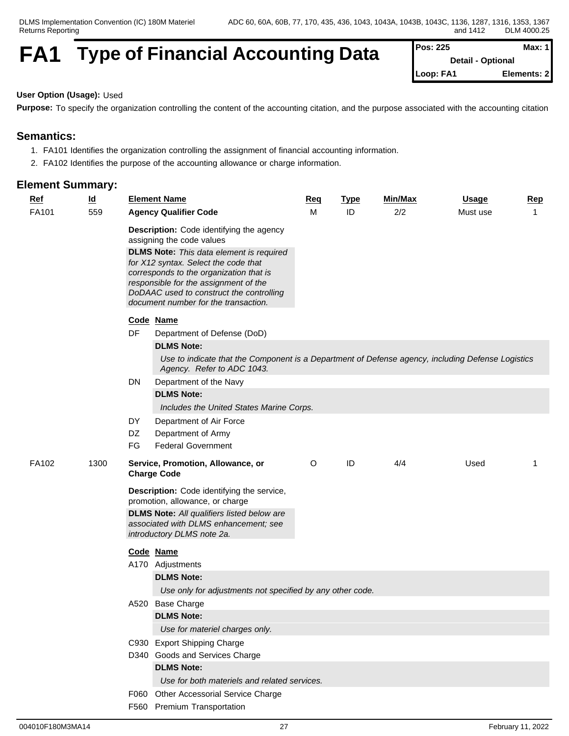# **FA1** Type of Financial Accounting Data

| Max: $1$<br>Pos: 225 |                          |  |  |
|----------------------|--------------------------|--|--|
|                      | <b>Detail - Optional</b> |  |  |
| Loop: FA1            | Elements: 2              |  |  |

# **User Option (Usage):** Used

**Purpose:** To specify the organization controlling the content of the accounting citation, and the purpose associated with the accounting citation

### **Semantics:**

- 1. FA101 Identifies the organization controlling the assignment of financial accounting information.
- 2. FA102 Identifies the purpose of the accounting allowance or charge information.

| <b>Ref</b> | $\underline{\mathsf{Id}}$ |          | <b>Element Name</b>                                                                                                                                                  | Req | <b>Type</b> | Min/Max | <b>Usage</b> | <b>Rep</b> |
|------------|---------------------------|----------|----------------------------------------------------------------------------------------------------------------------------------------------------------------------|-----|-------------|---------|--------------|------------|
| FA101      | 559                       |          | <b>Agency Qualifier Code</b>                                                                                                                                         | M   | ID          | 2/2     | Must use     | -1         |
|            |                           |          | Description: Code identifying the agency<br>assigning the code values<br><b>DLMS Note:</b> This data element is required<br>for X12 syntax. Select the code that     |     |             |         |              |            |
|            |                           |          | corresponds to the organization that is<br>responsible for the assignment of the<br>DoDAAC used to construct the controlling<br>document number for the transaction. |     |             |         |              |            |
|            |                           |          | Code Name                                                                                                                                                            |     |             |         |              |            |
|            |                           | DF       | Department of Defense (DoD)                                                                                                                                          |     |             |         |              |            |
|            |                           |          | <b>DLMS Note:</b>                                                                                                                                                    |     |             |         |              |            |
|            |                           |          | Use to indicate that the Component is a Department of Defense agency, including Defense Logistics<br>Agency. Refer to ADC 1043.                                      |     |             |         |              |            |
|            |                           | DN       | Department of the Navy                                                                                                                                               |     |             |         |              |            |
|            |                           |          | <b>DLMS Note:</b>                                                                                                                                                    |     |             |         |              |            |
|            |                           |          | Includes the United States Marine Corps.                                                                                                                             |     |             |         |              |            |
|            |                           | DY       | Department of Air Force                                                                                                                                              |     |             |         |              |            |
|            |                           | DZ<br>FG | Department of Army<br><b>Federal Government</b>                                                                                                                      |     |             |         |              |            |
|            |                           |          |                                                                                                                                                                      |     |             |         |              |            |
| FA102      | 1300                      |          | Service, Promotion, Allowance, or<br><b>Charge Code</b>                                                                                                              | O   | ID          | 4/4     | Used         | -1         |
|            |                           |          | <b>Description:</b> Code identifying the service,<br>promotion, allowance, or charge                                                                                 |     |             |         |              |            |
|            |                           |          | <b>DLMS Note:</b> All qualifiers listed below are                                                                                                                    |     |             |         |              |            |
|            |                           |          | associated with DLMS enhancement; see<br>introductory DLMS note 2a.                                                                                                  |     |             |         |              |            |
|            |                           |          | Code Name                                                                                                                                                            |     |             |         |              |            |
|            |                           |          | A170 Adjustments                                                                                                                                                     |     |             |         |              |            |
|            |                           |          | <b>DLMS Note:</b>                                                                                                                                                    |     |             |         |              |            |
|            |                           |          | Use only for adjustments not specified by any other code.                                                                                                            |     |             |         |              |            |
|            |                           |          | A520 Base Charge                                                                                                                                                     |     |             |         |              |            |
|            |                           |          | <b>DLMS Note:</b>                                                                                                                                                    |     |             |         |              |            |
|            |                           |          | Use for materiel charges only.                                                                                                                                       |     |             |         |              |            |
|            |                           |          | C930 Export Shipping Charge                                                                                                                                          |     |             |         |              |            |
|            |                           |          | D340 Goods and Services Charge                                                                                                                                       |     |             |         |              |            |
|            |                           |          | <b>DLMS Note:</b>                                                                                                                                                    |     |             |         |              |            |
|            |                           |          | Use for both materiels and related services.                                                                                                                         |     |             |         |              |            |
|            |                           |          | F060 Other Accessorial Service Charge<br>F560 Premium Transportation                                                                                                 |     |             |         |              |            |
|            |                           |          |                                                                                                                                                                      |     |             |         |              |            |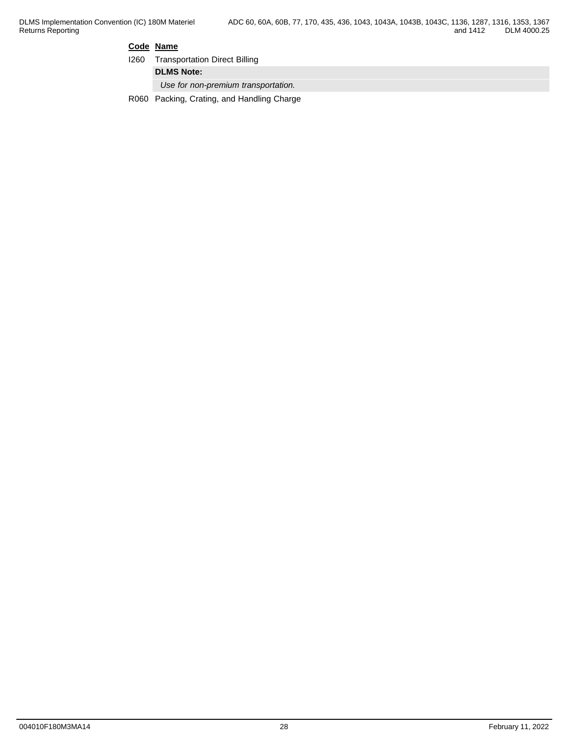#### **Code Name**

|  | <b>1260</b> Transportation Direct Billing |  |
|--|-------------------------------------------|--|
|--|-------------------------------------------|--|

**DLMS Note:**

*Use for non-premium transportation.*

R060 Packing, Crating, and Handling Charge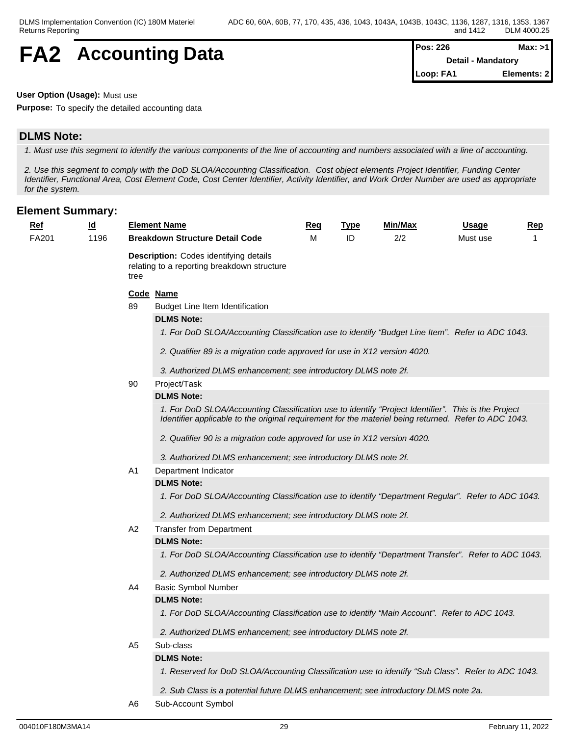# **FA2** Accounting Data  $\left[\begin{array}{cc} \text{Pos: 226} \\ \text{Detail - Mandatory} \end{array}\right]$

**Detail - Mandatory Loop: FA1 Elements: 2**

#### **User Option (Usage):** Must use

**Purpose:** To specify the detailed accounting data

### **DLMS Note:**

*1. Must use this segment to identify the various components of the line of accounting and numbers associated with a line of accounting.*

*2. Use this segment to comply with the DoD SLOA/Accounting Classification. Cost object elements Project Identifier, Funding Center Identifier, Functional Area, Cost Element Code, Cost Center Identifier, Activity Identifier, and Work Order Number are used as appropriate for the system.*

| <b>Ref</b> | $\underline{\mathsf{Id}}$ |                                                                                                      | <b>Element Name</b>                                                                                                                                                                                          | <u>Req</u> | <b>Type</b> | Min/Max | <b>Usage</b> | Rep |  |
|------------|---------------------------|------------------------------------------------------------------------------------------------------|--------------------------------------------------------------------------------------------------------------------------------------------------------------------------------------------------------------|------------|-------------|---------|--------------|-----|--|
| FA201      | 1196                      |                                                                                                      | <b>Breakdown Structure Detail Code</b>                                                                                                                                                                       | м          | ID          | 2/2     | Must use     |     |  |
|            |                           | <b>Description:</b> Codes identifying details<br>relating to a reporting breakdown structure<br>tree |                                                                                                                                                                                                              |            |             |         |              |     |  |
|            |                           |                                                                                                      | Code Name                                                                                                                                                                                                    |            |             |         |              |     |  |
|            |                           | 89                                                                                                   | Budget Line Item Identification                                                                                                                                                                              |            |             |         |              |     |  |
|            |                           |                                                                                                      | <b>DLMS Note:</b>                                                                                                                                                                                            |            |             |         |              |     |  |
|            |                           |                                                                                                      | 1. For DoD SLOA/Accounting Classification use to identify "Budget Line Item". Refer to ADC 1043.                                                                                                             |            |             |         |              |     |  |
|            |                           |                                                                                                      | 2. Qualifier 89 is a migration code approved for use in X12 version 4020.                                                                                                                                    |            |             |         |              |     |  |
|            |                           |                                                                                                      | 3. Authorized DLMS enhancement; see introductory DLMS note 2f.                                                                                                                                               |            |             |         |              |     |  |
|            |                           | 90                                                                                                   | Project/Task                                                                                                                                                                                                 |            |             |         |              |     |  |
|            |                           |                                                                                                      | <b>DLMS Note:</b>                                                                                                                                                                                            |            |             |         |              |     |  |
|            |                           |                                                                                                      | 1. For DoD SLOA/Accounting Classification use to identify "Project Identifier". This is the Project<br>Identifier applicable to the original requirement for the materiel being returned. Refer to ADC 1043. |            |             |         |              |     |  |
|            |                           |                                                                                                      | 2. Qualifier 90 is a migration code approved for use in X12 version 4020.                                                                                                                                    |            |             |         |              |     |  |
|            |                           |                                                                                                      | 3. Authorized DLMS enhancement; see introductory DLMS note 2f.                                                                                                                                               |            |             |         |              |     |  |
|            |                           | A1                                                                                                   | Department Indicator                                                                                                                                                                                         |            |             |         |              |     |  |
|            |                           |                                                                                                      | <b>DLMS Note:</b>                                                                                                                                                                                            |            |             |         |              |     |  |
|            |                           |                                                                                                      | 1. For DoD SLOA/Accounting Classification use to identify "Department Regular". Refer to ADC 1043.                                                                                                           |            |             |         |              |     |  |
|            |                           |                                                                                                      | 2. Authorized DLMS enhancement; see introductory DLMS note 2f.                                                                                                                                               |            |             |         |              |     |  |
|            |                           | A <sub>2</sub>                                                                                       | <b>Transfer from Department</b>                                                                                                                                                                              |            |             |         |              |     |  |
|            |                           |                                                                                                      | <b>DLMS Note:</b>                                                                                                                                                                                            |            |             |         |              |     |  |
|            |                           |                                                                                                      | 1. For DoD SLOA/Accounting Classification use to identify "Department Transfer". Refer to ADC 1043.                                                                                                          |            |             |         |              |     |  |
|            |                           |                                                                                                      | 2. Authorized DLMS enhancement; see introductory DLMS note 2f.                                                                                                                                               |            |             |         |              |     |  |
|            |                           | A4                                                                                                   | <b>Basic Symbol Number</b>                                                                                                                                                                                   |            |             |         |              |     |  |
|            |                           |                                                                                                      | <b>DLMS Note:</b>                                                                                                                                                                                            |            |             |         |              |     |  |
|            |                           |                                                                                                      | 1. For DoD SLOA/Accounting Classification use to identify "Main Account". Refer to ADC 1043.                                                                                                                 |            |             |         |              |     |  |
|            |                           |                                                                                                      | 2. Authorized DLMS enhancement; see introductory DLMS note 2f.                                                                                                                                               |            |             |         |              |     |  |
|            |                           | A <sub>5</sub>                                                                                       | Sub-class                                                                                                                                                                                                    |            |             |         |              |     |  |
|            |                           |                                                                                                      | <b>DLMS Note:</b>                                                                                                                                                                                            |            |             |         |              |     |  |
|            |                           |                                                                                                      | 1. Reserved for DoD SLOA/Accounting Classification use to identify "Sub Class". Refer to ADC 1043.                                                                                                           |            |             |         |              |     |  |
|            |                           |                                                                                                      | 2. Sub Class is a potential future DLMS enhancement; see introductory DLMS note 2a.                                                                                                                          |            |             |         |              |     |  |
|            |                           | A6                                                                                                   | Sub-Account Symbol                                                                                                                                                                                           |            |             |         |              |     |  |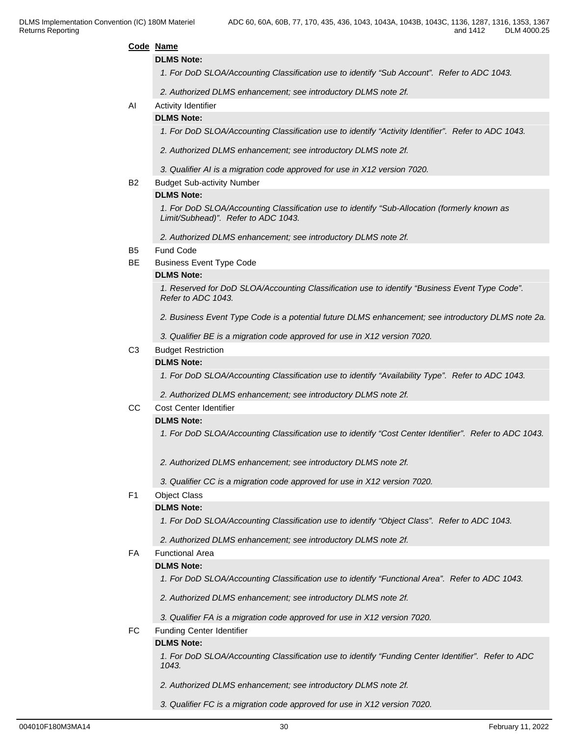|    | and 1412<br>DLM 4000.25                                                                                                                                  |
|----|----------------------------------------------------------------------------------------------------------------------------------------------------------|
|    | Code Name                                                                                                                                                |
|    | <b>DLMS Note:</b>                                                                                                                                        |
|    | 1. For DoD SLOA/Accounting Classification use to identify "Sub Account". Refer to ADC 1043.                                                              |
|    | 2. Authorized DLMS enhancement; see introductory DLMS note 2f.                                                                                           |
| AI | Activity Identifier                                                                                                                                      |
|    | <b>DLMS Note:</b>                                                                                                                                        |
|    | 1. For DoD SLOA/Accounting Classification use to identify "Activity Identifier". Refer to ADC 1043.                                                      |
|    | 2. Authorized DLMS enhancement; see introductory DLMS note 2f.                                                                                           |
|    | 3. Qualifier AI is a migration code approved for use in X12 version 7020.                                                                                |
| В2 | <b>Budget Sub-activity Number</b>                                                                                                                        |
|    | <b>DLMS Note:</b><br>1. For DoD SLOA/Accounting Classification use to identify "Sub-Allocation (formerly known as<br>Limit/Subhead)". Refer to ADC 1043. |
|    | 2. Authorized DLMS enhancement; see introductory DLMS note 2f.                                                                                           |
| В5 | Fund Code                                                                                                                                                |
| ВE | <b>Business Event Type Code</b>                                                                                                                          |
|    | <b>DLMS Note:</b>                                                                                                                                        |
|    | 1. Reserved for DoD SLOA/Accounting Classification use to identify "Business Event Type Code".<br>Refer to ADC 1043.                                     |
|    | 2. Business Event Type Code is a potential future DLMS enhancement; see introductory DLMS note 2a.                                                       |
|    | 3. Qualifier BE is a migration code approved for use in X12 version 7020.                                                                                |
| CЗ | <b>Budget Restriction</b>                                                                                                                                |
|    | <b>DLMS Note:</b>                                                                                                                                        |
|    | 1. For DoD SLOA/Accounting Classification use to identify "Availability Type". Refer to ADC 1043.                                                        |
|    | 2. Authorized DLMS enhancement; see introductory DLMS note 2f.                                                                                           |
| CС | Cost Center Identifier                                                                                                                                   |
|    | <b>DLMS Note:</b>                                                                                                                                        |
|    | 1. For DoD SLOA/Accounting Classification use to identify "Cost Center Identifier". Refer to ADC 1043.                                                   |
|    | 2. Authorized DLMS enhancement; see introductory DLMS note 2f.                                                                                           |
|    | 3. Qualifier CC is a migration code approved for use in X12 version 7020.                                                                                |
| F1 | <b>Object Class</b>                                                                                                                                      |
|    | <b>DLMS Note:</b>                                                                                                                                        |
|    | 1. For DoD SLOA/Accounting Classification use to identify "Object Class". Refer to ADC 1043.                                                             |
|    | 2. Authorized DLMS enhancement; see introductory DLMS note 2f.                                                                                           |
| FA | <b>Functional Area</b>                                                                                                                                   |
|    | <b>DLMS Note:</b>                                                                                                                                        |
|    | 1. For DoD SLOA/Accounting Classification use to identify "Functional Area". Refer to ADC 1043.                                                          |
|    | 2. Authorized DLMS enhancement; see introductory DLMS note 2f.                                                                                           |
|    | 3. Qualifier FA is a migration code approved for use in X12 version 7020.                                                                                |
| FC | Funding Center Identifier                                                                                                                                |
|    | <b>DLMS Note:</b>                                                                                                                                        |
|    | 1. For DoD SLOA/Accounting Classification use to identify "Funding Center Identifier". Refer to ADC                                                      |

*1043.* 

- *2. Authorized DLMS enhancement; see introductory DLMS note 2f.*
- *3. Qualifier FC is a migration code approved for use in X12 version 7020.*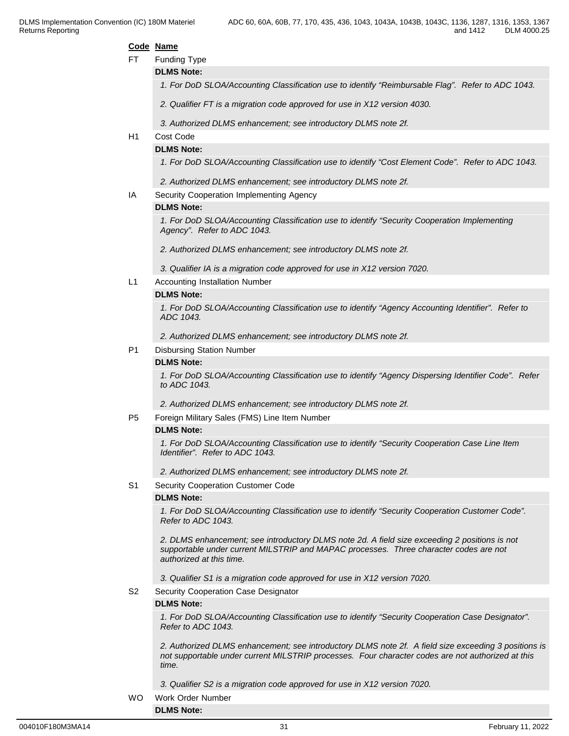#### **Code Name**

FT Funding Type

**DLMS Note:**

*1. For DoD SLOA/Accounting Classification use to identify "Reimbursable Flag". Refer to ADC 1043.*

*2. Qualifier FT is a migration code approved for use in X12 version 4030.*

*3. Authorized DLMS enhancement; see introductory DLMS note 2f.*

### H1 Cost Code

#### **DLMS Note:**

*1. For DoD SLOA/Accounting Classification use to identify "Cost Element Code". Refer to ADC 1043.* 

*2. Authorized DLMS enhancement; see introductory DLMS note 2f.*

IA Security Cooperation Implementing Agency

#### **DLMS Note:**

*1. For DoD SLOA/Accounting Classification use to identify "Security Cooperation Implementing Agency". Refer to ADC 1043.*

*2. Authorized DLMS enhancement; see introductory DLMS note 2f.*

*3. Qualifier IA is a migration code approved for use in X12 version 7020.*

L1 Accounting Installation Number

#### **DLMS Note:**

*1. For DoD SLOA/Accounting Classification use to identify "Agency Accounting Identifier". Refer to ADC 1043.*

*2. Authorized DLMS enhancement; see introductory DLMS note 2f.*

P1 Disbursing Station Number

#### **DLMS Note:**

*1. For DoD SLOA/Accounting Classification use to identify "Agency Dispersing Identifier Code". Refer to ADC 1043.*

*2. Authorized DLMS enhancement; see introductory DLMS note 2f.*

P5 Foreign Military Sales (FMS) Line Item Number

#### **DLMS Note:**

*1. For DoD SLOA/Accounting Classification use to identify "Security Cooperation Case Line Item Identifier". Refer to ADC 1043.*

*2. Authorized DLMS enhancement; see introductory DLMS note 2f.*

#### S1 Security Cooperation Customer Code

#### **DLMS Note:**

*1. For DoD SLOA/Accounting Classification use to identify "Security Cooperation Customer Code". Refer to ADC 1043.*

*2. DLMS enhancement; see introductory DLMS note 2d. A field size exceeding 2 positions is not supportable under current MILSTRIP and MAPAC processes. Three character codes are not authorized at this time.*

*3. Qualifier S1 is a migration code approved for use in X12 version 7020.*

S2 Security Cooperation Case Designator

#### **DLMS Note:**

*1. For DoD SLOA/Accounting Classification use to identify "Security Cooperation Case Designator". Refer to ADC 1043.*

*2. Authorized DLMS enhancement; see introductory DLMS note 2f. A field size exceeding 3 positions is not supportable under current MILSTRIP processes. Four character codes are not authorized at this time.*

*3. Qualifier S2 is a migration code approved for use in X12 version 7020.*

WO Work Order Number **DLMS Note:**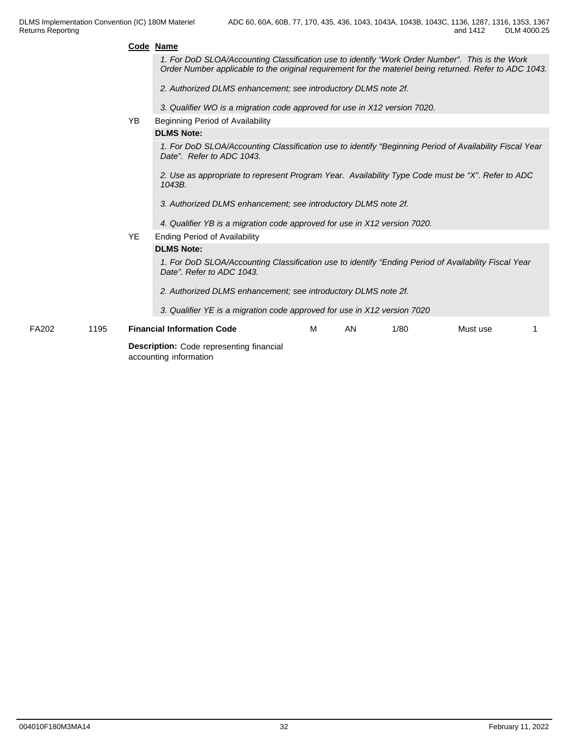#### **Code Name**

*1. For DoD SLOA/Accounting Classification use to identify "Work Order Number". This is the Work Order Number applicable to the original requirement for the materiel being returned. Refer to ADC 1043.*

*2. Authorized DLMS enhancement; see introductory DLMS note 2f.*

*3. Qualifier WO is a migration code approved for use in X12 version 7020.*

YB Beginning Period of Availability

#### **DLMS Note:**

*1. For DoD SLOA/Accounting Classification use to identify "Beginning Period of Availability Fiscal Year Date". Refer to ADC 1043.*

*2. Use as appropriate to represent Program Year. Availability Type Code must be "X". Refer to ADC 1043B.*

- *3. Authorized DLMS enhancement; see introductory DLMS note 2f.*
- *4. Qualifier YB is a migration code approved for use in X12 version 7020.*

#### YE Ending Period of Availability

#### **DLMS Note:**

*1. For DoD SLOA/Accounting Classification use to identify "Ending Period of Availability Fiscal Year Date". Refer to ADC 1043.*

 *2. Authorized DLMS enhancement; see introductory DLMS note 2f.*

*3. Qualifier YE is a migration code approved for use in X12 version 7020*

FA202 1195 **Financial Information Code Description:** Code representing financial accounting information M AN 1/80 Must use 1